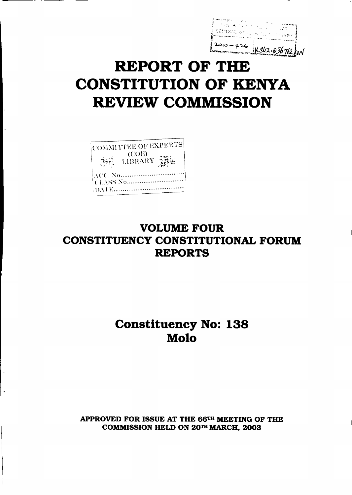$2010 - 426$   $1342.036762$  con

# REPORT OF THE CONSTITUTION OF KENYA REVIEW COMMISSION

|      | COMMITTEE OF EXPERTS |  |
|------|----------------------|--|
|      | (COE)<br>LIBRARY     |  |
| DATE |                      |  |

## VOLUME FOUR CONSTITUENCY CONSTITUTIONAL FORUM REPORTS

## Constituency No: 138 Molo

APPROVED FOR ISSUE AT THE 66TH MEETING OF THE COMMISSION HELD ON 20TH MARCH, 2003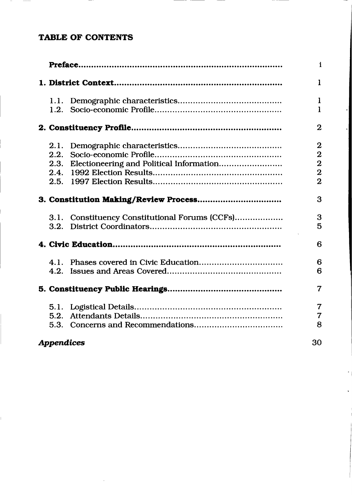## TABLE OF CONTENTS

 $\mathbf{L}$ 

|                   |                                                | $\mathbf i$    |
|-------------------|------------------------------------------------|----------------|
|                   |                                                | $\mathbf{1}$   |
|                   |                                                | $\mathbf{1}$   |
| 1.2.              |                                                | $\mathbf{1}$   |
|                   |                                                | $\overline{2}$ |
| 2.1.              |                                                | $\overline{2}$ |
| 2.2.              |                                                | $\overline{2}$ |
|                   | 2.3. Electioneering and Political Information  | $\overline{2}$ |
|                   |                                                | $\overline{2}$ |
|                   |                                                | $\overline{2}$ |
|                   |                                                | 3              |
|                   | 3.1. Constituency Constitutional Forums (CCFs) | 3              |
|                   |                                                | 5              |
|                   |                                                | 6              |
|                   |                                                | 6              |
|                   |                                                | 6              |
|                   |                                                | $\overline{7}$ |
|                   |                                                | 7              |
| 5.2.              |                                                | $\overline{7}$ |
| 5.3.              |                                                | 8              |
| <b>Appendices</b> |                                                | 30             |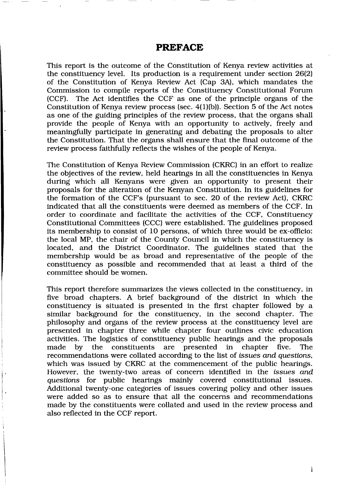## PREFACE

This report is the outcome of the Constitution of Kenya review activities at the constituency level. Its production is a requirement under section 26(2) of the Constitution of Kenya Review Act (Cap 3A), which mandates the Commission to compile reports of the Constituency Constitutional Forum (CCF). The Act identifies the CCF as one of the principle organs of the Constitution of Kenya review process (sec.  $4(1)(b)$ ). Section 5 of the Act notes as one of the guiding principles of the review process, that the organs shall provide the people of Kenya with an opportunity to actively, freely and meaningfully participate in generating and debating the proposals to alter the Constitution. That the organs shall ensure that the final outcome of the review process faithfully reflects the wishes of the people of Kenya.

The Constitution of Kenya Review Commission (CKRC) in an effort to realize the objectives of the review, held hearings in all the constituencies in Kenya during which all Kenyans were given an opportunity to present their proposals for the alteration of the Kenyan Constitution. In its guidelines for the formation of the CCF's (pursuant to sec. 20 of the review Act), CKRC indicated that all the constituents were deemed as members of the CCF. In order to coordinate and facilitate the activities of the CCF, Constituency Constitutional Committees (CCC) were established. The guidelines proposed its membership to consist of 1O persons, of which three would be ex-oflicio: the local MP, the chair of the County Council in which the constituency is located, and the District Coordinator. The guidelines stated that the membership would be as broad and representative of the people of the constituency as possible and recommended that at least a third of the committee should be women.

This report therefore summarizes the views collected in the constituency, in five broad chapters. A brief background of the district in which the constituency is situated is presented in the first chapter followed by a similar background for the constituency, in the second chapter. The philosophy and organs of the review process at the constituency level are presented in chapter three while chapter four outlines civic education activities. The logistics of constituency public hearings and the proposals made by the constituents are presented in chapter five. The made by the constituents are presented in chapter five. The recommendations were collated according to the list of *issues and questions*, which was issued by CKRC at the commencement of the public hearings. However, the twenty-two areas of concern identified in the *issues and* questions for public hearings mainly covered constitutional issues. Additional twenty-one categories of issues covering policy and other issues were added so as to ensure that all the concerns and recommendations made by the constituents were collated and used in the review process and also reflected in the CCF report.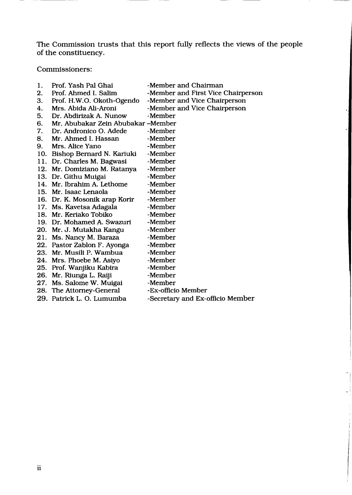The Commission trusts that this report fully reflects the views of the people of the constituency.

Commissioners:

| 1. | Prof. Yash Pal Ghai                | -Member and Chairman               |
|----|------------------------------------|------------------------------------|
| 2. | Prof. Ahmed I. Salim               | -Member and First Vice Chairperson |
| 3. | Prof. H.W.O. Okoth-Ogendo          | -Member and Vice Chairperson       |
| 4. | Mrs. Abida Ali-Aroni               | -Member and Vice Chairperson       |
| 5. | Dr. Abdirizak A. Nunow             | -Member                            |
| 6. | Mr. Abubakar Zein Abubakar –Member |                                    |
| 7. | Dr. Andronico O. Adede             | -Member                            |
| 8. | Mr. Ahmed I. Hassan                | -Member                            |
| 9. | Mrs. Alice Yano                    | -Member                            |
|    | 10. Bishop Bernard N. Kariuki      | -Member                            |
|    | 11. Dr. Charles M. Bagwasi         | -Member                            |
|    | 12. Mr. Domiziano M. Ratanya       | -Member                            |
|    | 13. Dr. Githu Muigai               | -Member                            |
|    | 14. Mr. Ibrahim A. Lethome         | -Member                            |
|    | 15. Mr. Isaac Lenaola              | -Member                            |
|    | 16. Dr. K. Mosonik arap Korir      | -Member                            |
|    | 17. Ms. Kavetsa Adagala            | -Member                            |
|    | 18. Mr. Keriako Tobiko             | -Member                            |
|    | 19. Dr. Mohamed A. Swazuri         | -Member                            |
|    | 20. Mr. J. Mutakha Kangu           | -Member                            |
|    | 21. Ms. Nancy M. Baraza            | -Member                            |
|    | 22. Pastor Zablon F. Ayonga        | -Member                            |
|    | 23. Mr. Musili P. Wambua           | -Member                            |
|    | 24. Mrs. Phoebe M. Asiyo           | -Member                            |
|    | 25. Prof. Wanjiku Kabira           | -Member                            |
|    | 26. Mr. Riunga L. Raiji            | -Member                            |
|    | 27. Ms. Salome W. Muigai           | -Member                            |
|    | 28. The Attorney-General           | -Ex-officio Member                 |
|    | 29. Patrick L. O. Lumumba          | -Secretary and Ex-officio Member   |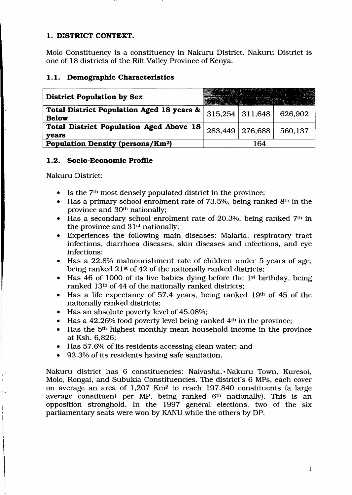## I. DISTRICT CONTEXT.

Molo Constituency is a constituency in Nakuru District. Nakuru District is one of 18 districts of the Rift Valley Province of Kenya.

## l.l. Demographic Characteristics

| <b>District Population by Sex</b>                              |         |                   |         |
|----------------------------------------------------------------|---------|-------------------|---------|
| Total District Population Aged 18 years &<br><b>Below</b>      |         | $315,254$ 311,648 | 626,902 |
| <b>Total District Population Aged Above 18</b><br><b>vears</b> | 283,449 | 276.688           | 560,137 |
| <b>Population Density (persons/Km<sup>2</sup>)</b>             |         | 164               |         |

## L.2. Socio-Economic Profile

Nakuru District:

- Is the 7<sup>th</sup> most densely populated district in the province;
- $\bullet$  Has a primary school enrolment rate of 73.5%, being ranked 8<sup>th</sup> in the province and 3Oth nationally;
- Has a secondary school enrolment rate of 20.3%, being ranked 7<sup>th</sup> in the province and  $31<sup>st</sup>$  nationally;
- Experiences the following main diseases: Malaria, respiratory tract infections, diarrhoea diseases, skin diseases and infections, and eye infections;
- Has a 22.8% malnourishment rate of children under 5 years of age, being ranked  $21<sup>st</sup>$  of 42 of the nationally ranked districts;
- $\bullet$  Has 46 of 1000 of its live babies dying before the 1<sup>st</sup> birthday, being ranked 13<sup>th</sup> of 44 of the nationally ranked districts;
- $\bullet$  Has a life expectancy of 57.4 years, being ranked 19th of 45 of the nationally ranked districts;
- Has an absolute poverty level of 45.08%;
- Has a  $42.26\%$  food poverty level being ranked  $4<sup>th</sup>$  in the province;
- $\bullet$  Has the 5<sup>th</sup> highest monthly mean household income in the province at Ksh. 6,826;
- Has 57.6% of its residents accessing clean water; and
- 92.3% of its residents having safe sanitation.

Nakuru district has 6 constituencies: Naivasha,. Nakuru Town, Kuresoi, Molo, Rongai, and Subukia Constituencies. The district's 6 MPs, each cover on average an area of  $1,207$  Km<sup>2</sup> to reach 197,840 constituents (a large average constituent per MP, being ranked 6<sup>th</sup> nationally). This is an opposition stronghold. In the 1997 general elections, two of the six parliamentary seats were won by KANU while the others by DP.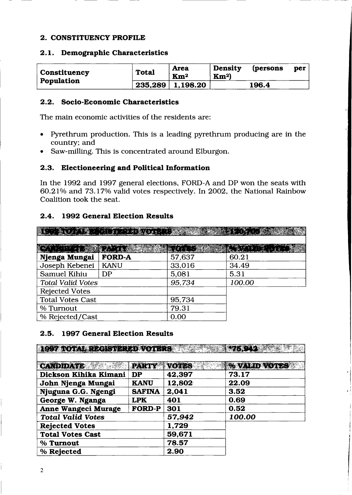#### 2. CONSTITUENCY PROFILE

#### 2.L. Demographic Characteristics

| Constituency | <b>Total</b> | <b>Area</b><br>$\mathbf{Km}^2$ | Density<br>Km <sup>2</sup> | <i>(persons</i> | per |
|--------------|--------------|--------------------------------|----------------------------|-----------------|-----|
| Population   |              | $235,289$   1,198.20           |                            | 196.4           |     |

#### 2.2. Socio-Economic Characteristics

The main economic activities of the residents are:

- Pyrethrum production. This is a leading pyrethrum producing are in the country; and
- Saw-milling. This is concentrated around Elburgon.

#### 2.3. Electioneering and Political Information

In the 1992 and 1997 general elections, FORD-A and DP won the seats with 60.21% and 73.17% valid votes respectively. In 2002, the National Rainbow Coalition took the seat.

#### 2.4. 1992 General Election Results

|                          | $\begin{array}{ccc} \bullet & \text{if } & \text{if } & \text{if } & \text{if } & \text{if } & \text{if } & \text{if } & \text{if } & \text{if } & \text{if } & \text{if } & \text{if } & \text{if } & \text{if } & \text{if } & \text{if } & \text{if } & \text{if } & \text{if } & \text{if } & \text{if } & \text{if } & \text{if } & \text{if } & \text{if } & \text{if } & \text{if } & \text{if } & \text{if } & \text{if } & \text{if } & \text{if } & \text{if } & \text{if } & \text{if } &$ |              |           |
|--------------------------|-------------------------------------------------------------------------------------------------------------------------------------------------------------------------------------------------------------------------------------------------------------------------------------------------------------------------------------------------------------------------------------------------------------------------------------------------------------------------------------------------------|--------------|-----------|
|                          |                                                                                                                                                                                                                                                                                                                                                                                                                                                                                                       |              |           |
|                          | 人名英格兰                                                                                                                                                                                                                                                                                                                                                                                                                                                                                                 | <b>KONTA</b> | 戦士を落とる 廃し |
| Njenga Mungai            | <b>FORD-A</b>                                                                                                                                                                                                                                                                                                                                                                                                                                                                                         | 57,637       | 60.21     |
| Joseph Kebenei           | <b>KANU</b>                                                                                                                                                                                                                                                                                                                                                                                                                                                                                           | 33,016       | 34.49     |
| Samuel Kihiu             | DP                                                                                                                                                                                                                                                                                                                                                                                                                                                                                                    | 5,081        | 5.31      |
| <b>Total Valid Votes</b> |                                                                                                                                                                                                                                                                                                                                                                                                                                                                                                       | 95,734       | 100.00    |
| <b>Rejected Votes</b>    |                                                                                                                                                                                                                                                                                                                                                                                                                                                                                                       |              |           |
| <b>Total Votes Cast</b>  |                                                                                                                                                                                                                                                                                                                                                                                                                                                                                                       | 95,734       |           |
| % Turnout                |                                                                                                                                                                                                                                                                                                                                                                                                                                                                                                       | 79.31        |           |
| % Rejected/Cast          |                                                                                                                                                                                                                                                                                                                                                                                                                                                                                                       | 0.00         |           |

### 2.5. 1997 General Election Results

**ICSY TOTAL REGISTERED TOTERS AND LATERAL CONTRACTOR**  $**PARTY**$ **,**  $**VOTSS**$  $**WALID VOTSS**$ Dickson Kihika Kimani DP  $|42,397$  73.17 John Nienga Mungai | KANU | 12,802. | 22.09 Njuguna G.G. Ngengi  $|\text{SAFINA}|2,041$  | 3.52 George W. Nganga  $|LPK|$  401  $|0.69|$ Anne Wangeci Murage  $|$  FORD-P  $|$  301  $|$  0.52 Total Volid Votes 57.942 700.oo Rejected Votes 1,729 Total Votes Cast 59,671 % Turnout 78.57  $%$  Rejected  $|2.90$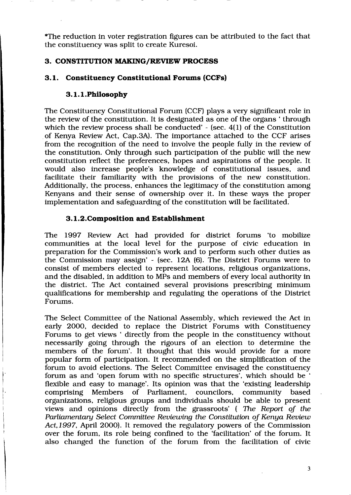\*The reduction in voter registration figures can be attributed to the fact that the constituency was split to create Kuresoi.

#### 3. CONSTITUTTON MAKING/REVIEW PROCESS

### 3.1. Constituency Constitutional Forums (CCFs)

#### 3.1.1.Philosophy

The Constituency Constitutional Forum (CCF) plays a very significant role in the review of the constitution. It is designated as one of the organs ' through which the review process shall be conducted' - (sec.  $4(1)$  of the Constitution of Kenya Review Act, Cap.3A). The importance attached to the CCF arises from the recognition of the need to involve the people fully in the review of the constitution. Only through such participation of the public will the new constitution reflect the preferences, hopes and aspirations of the people. It would also increase people's knowledge of constitutional issues, and facilitate their familiarity with the provisions of the new constitution. Additionally, the process, enhances the legitimacy of the constitution among Kenyans and their sense of ownership over it. In these ways the proper implementation and safeguarding of the constitution will be facilitated.

#### 3. l.2.Composition and Establishment

The 1997 Review Act had provided for district forums 'to mobilize communities at the local level for the purpose of civic education in preparation for the Commission's work and to perform such other duties as the Commission may assign' - (sec. 12A (6). The District Forums were to consist of members elected to represent locations, religious organizations, and the disabled, in addition to MPs and members of every local authority in the district. The Act contained several provisions prescribing minimum qualifications for membership and regulating the operations of the District Forums.

The Select Committee of the National Assembly, which reviewed the Act in early 2OOO, decided to replace the District Forums with Constituency Forums to get views ' directly from the people in the constituency without necessarily going through the rigours of an election to determine the members of the forum'. It thought that this would provide for a more popular form of participation. It recommended on the simplification of the forum to avoid elections. The Select Committee envisaged the constituency forum as and 'open forum with no specific structures', which should be ' flexible and easy to manage'. Its opinion was that the 'existing leadership comprising Members of Parliament, councilors, community based orgarizations, religious groups and individuals should be able to present views and opinions directly from the grassroots' (The Report of the Parliamentary Select Committee Reviewing the Constitution of Kenya Review Act,1997, April 2000). It removed the regulatory powers of the Commission over the forum, its role being confined to the 'facilitation' of the forum. It also changed the function of the forum from the facilitation of civic

 $\ddot{\phantom{a}}$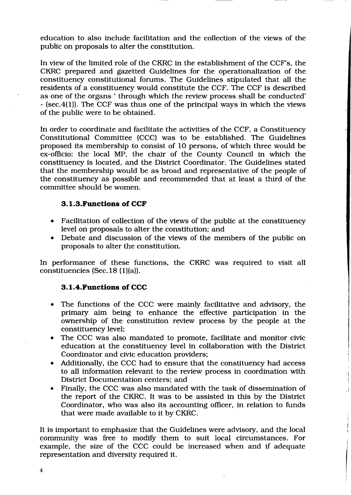education to also include facilitation and the collection of the views of the public on proposals to alter the constitution.

In view of the limited role of the CKRC in the establishment of the CCF s, the CKRC prepared and gazetted Guidelines for the operationalization of the constituency constitutional forums. The Guidelines stipulated that all the residents of a constituency would constitute the CCF. The CCF is described as one of the organs ' through which the review process shall be conducted' - (sec.4(l)). The CCF was thus one of the principal ways in which the views of the public were to be obtained.

In order to coordinate and facilitate the activities of the CCF, a Constituency Constitutional Committee (CCC) was to be established. The Guidelines proposed its membership to consist of lO persons, of which three would be ex-officio: the local MP, the chair of the County Council in which the constituency is located, and the District Coordinator. The Guidelines stated that the membership would be as broad and representative of the people of the constituency as possible and recommended that at least a third of the committee should be women.

#### 3.1.3. Functions of CCF

- Facilitation of collection of the views of the public at the constituency level on proposals to alter the constitution; and
- Debate and discussion of the views of the members of the public on proposals to alter the constitution.

In performance of these functions, the CKRC was required to visit all constituencies (Sec.  $18(1)(a)$ ).

#### 3.1.4. Functions of CCC

- . The functions of the CCC were mainly facilitative and advisory, the primary aim being to enhance the effective participation in the ownership of the constitution review process by the people at the constituency level;
- . The CCC was also mandated to promote, facilitate and monitor civic education at the constituency level in collaboration with the District Coordinator and civic education providers;
- Additionally, the CCC had to ensure that the constituency had access to all information relevant to the review process in coordination \Mith District Documentation centers; and
- . Finally, the CCC was also mandated with the task of dissemination of the report of the CKRC. It was to be assisted in this by the District Coordinator, who was also its accounting officer, in relation to funds that were made available to it by CKRC.

It is important to emphasize that the Guidelines were advisory, and the local community was free to modify them to suit local circumstances. For example, the size of the CCC could be increased when and if adequate representation and diversity required it.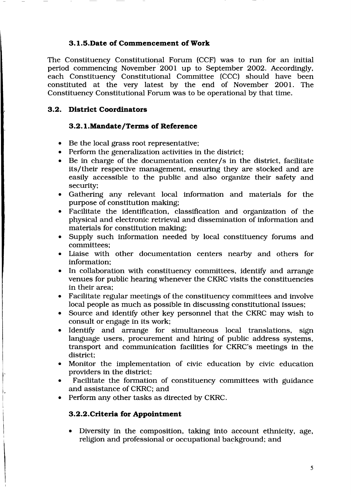#### 3.1.5.Date of Commencement of Work

The Constituency Constitutional Forum (CCF) was to run for an initial period commencing November 2001 up to September 2OO2. Accordingly, each Constituency Constitutional Committee (CCC) should have been constituted at the very latest by the end of November 2001. The Constituency Constitutional Forum was to be operational by that time.

#### 3.2. District Coordinators

#### 3.2. l.Mandate/Terms of Reference

- Be the local grass root representative;
- . Perform the generalization activities in the district;
- Be in charge of the documentation center/s in the district, facilitate its/their respective management, ensuring they are stocked and are easily accessible to the public and also organize their safety and security;
- o Gathering any relevant local information and materials for the purpose of constitution making;
- o Facilitate the identification, classification and organization of the physical and electronic retrieval and dissemination of information and materials for constitution making;
- . Supply such information needed by local constituency forums and committees:
- Liaise with other documentation centers nearby and others for information;
- In collaboration with constituency committees, identify and arrange venues for public hearing whenever the CKRC visits the constituencies in their area;
- Facilitate regular meetings of the constituency committees and involve local people as much as possible in discussing constitutional issues;
- Source and identify other key personnel that the CKRC may wish to consult or engage in its work;
- Identify and arrange for simultaneous local translations, sign language users, procurement and hiring of public address systems, transport and communication facilities for CKRC's meetings in the district;
- Monitor the implementation of civic education by civic education providers in the district;
- Facilitate the formation of constituency committees with guidance and assistance of CKRC; and
- . Perform any other tasks as directed by CKRC.

#### 3.2.2.Crlteria for Appointment

• Diversity in the composition, taking into account ethnicity, age, religion and professional or occupational background; and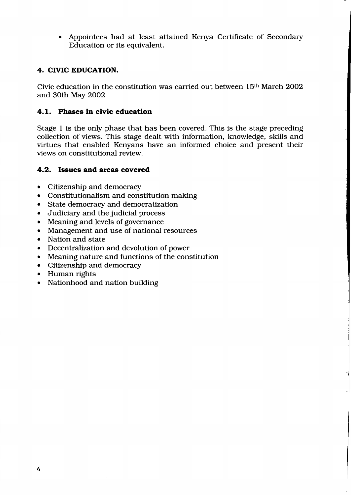. Appointees had at least attained Kenya Certificate of Secondary Education or its equivalent.

#### 4. CTVIC EDUCATION.

Civic education in the constitution was carried out between 15<sup>th</sup> March 2002 and 3Oth May 2OO2

#### 4.1. Phases in civic education

Stage 1 is the only phase that has been covered. This is the stage preceding collection of views. This stage dealt with information, knowledge, skills and virtues that enabled Kenyans have an informed choice and present their views on constitutional review.

#### 4.2. Issues and areas covered

- Citizenship and democracy
- Constitutionalism and constitution making
- State democracy and democratization
- o Judiciary and the judicial process
- Meaning and levels of governance
- Management and use of national resources
- Nation and state
- Decentralization and devolution of power
- Meaning nature and functions of the constitution
- Citizenship and democracy
- Human rights
- Nationhood and nation building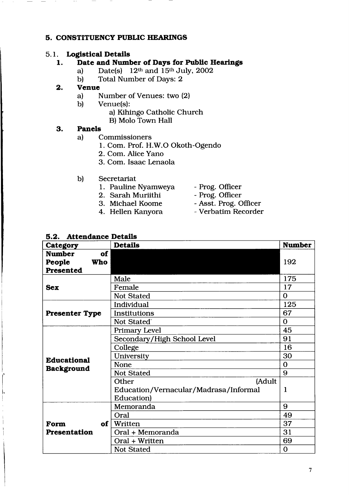#### 5. CONSTITTIENCY PUBLIC HEARINGS

# 5.1. Logistical Details<br>1. Date and Numi

# Date and Number of Days for Public Hearings<br>a) Date(s)  $12<sup>th</sup>$  and  $15<sup>th</sup>$  July, 2002

- a) Date(s)  $12<sup>th</sup>$  and  $15<sup>th</sup>$  July, 2002<br>b) Total Number of Days: 2
- Total Number of Days: 2

#### 2. Venue

- a) Number of Venues: two (2)<br>b) Venue(s):
- Venue(s):
	- a) Kihingo Catholic Church
	- B) Molo Town Hall

#### 3. Panels

- a) Commissioners
	- 1. Com. Prof. H.W.O Okoth-Ogendo
	- 2. Com. Alice Yano
	- 3. Com. Isaac Lenaola
- b) Secretariat
	- 1. Pauline Nyamweya Prog. Oflicer
	- 2. Sarah Muriithi Prog. Officer
	-
	-
- 
- 
- 3. Michael Koome Asst. Prog. Officer
- 4. Hellen Kanyora Verbatim Recorder

| 5.2. Attendance Details |
|-------------------------|
|-------------------------|

| Category              | <b>Details</b>                        | <b>Number</b> |  |
|-----------------------|---------------------------------------|---------------|--|
| of<br><b>Number</b>   |                                       |               |  |
| People<br><b>Who</b>  |                                       | 192           |  |
| Presented             |                                       |               |  |
|                       | Male                                  | 175           |  |
| <b>Sex</b>            | Female                                | 17            |  |
|                       | <b>Not Stated</b>                     | $\mathbf 0$   |  |
|                       | Individual                            | 125           |  |
| <b>Presenter Type</b> | Institutions                          | 67            |  |
|                       | Not Stated <sup>®</sup>               | $\mathbf 0$   |  |
|                       | Primary Level                         | 45            |  |
|                       | Secondary/High School Level           | 91            |  |
|                       | College                               | 16            |  |
| <b>Educational</b>    | University                            | 30            |  |
| <b>Background</b>     | None                                  | $\Omega$      |  |
|                       | <b>Not Stated</b>                     | 9             |  |
|                       | (Adult<br>Other                       |               |  |
|                       | Education/Vernacular/Madrasa/Informal | $\mathbf{1}$  |  |
|                       | Education)                            |               |  |
|                       | Memoranda                             | 9             |  |
|                       | Oral                                  | 49            |  |
| of  <br>Form          | Written                               | 37            |  |
| <b>Presentation</b>   | Oral + Memoranda                      | 31            |  |
|                       | Oral + Written                        | 69            |  |
|                       | <b>Not Stated</b>                     | $\mathbf 0$   |  |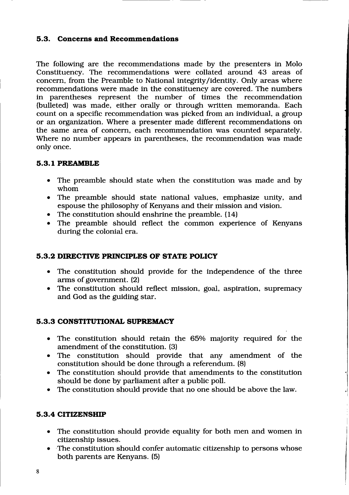#### 5.3. Concerns and Recommendations

The following are the recommendations made by the presenters in Molo Constituency. The recommendations were collated around 43 areas of concern, from the Preamble to National integrity/identity. Only areas where recommendations were made in the constituency are covered. The numbers in parentheses represent the number of times the recommendation (bulleted) was made, either orally or through written memoranda. Each count on a specific recommendation was picked from an individual, a group or an organization. Where a presenter made different recommendations on the same area of concern, each recommendation was counted separately. Where no number appears in parentheses, the recommendation was made only once.

#### 5.3.T PREAMBLE

- The preamble should state when the constitution was made and by whom
- The preamble should state national values, emphasize unity, and espouse the philosophy of Kenyans and their mission and vision.
- The constitution should enshrine the preamble. (14)
- The preamble should reflect the common experience of Kenyans during the colonial era.

### 5.9.2 DIRECTTVE PRINCIPLES OF STATE POLICY

- o The constitution should provide for the independence of the three arms of government. (2)
- $\bullet$  The constitution should reflect mission, goal, aspiration, supremacy and God as the guiding star.

#### 5.3.3 CONSTITUTIONAL SUPREMACY

- $\bullet$  The constitution should retain the 65% majority required for the amendment of the constitution. (3)
- . The constitution should provide that any amendment of the constitution should be done through a referendum. (8)
- The constitution should provide that amendments to the constitution should be done by parliament after a public poll.
- The constitution should provide that no one should be above the law.

### 5.3.4 CITIZENSHIP

- The constitution should provide equality for both men and women in citizenship issues.
- The constitution should confer automatic citizenship to persons whose both parents are Kenyans. (5)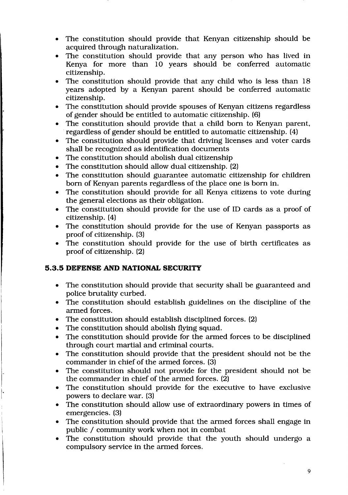- The constitution should provide that Kenyan citizenship should be acquired through naturalization.
- The constitution should provide that any person who has lived in Kenya for more than 10 years should be conferred automatic citizenship.
- The constitution should provide that any child who is less than 18 years adopted by a Kenyan parent should be conferred automatic citizenship.
- The constitution should provide spouses of Kenyan citizens regardless of gender should be entitled to automatic citizenship. (6)
- . The constitution should provide that a child born to Kenyan parent, regardless of gender should be entitled to automatic citizenship. (4)
- The constitution should provide that driving licenses and voter cards shall be recognized as identification documents
- The constitution should abolish dual citizenship
- The constitution should allow dual citizenship. (2)
- . The constitution should guarantee automatic citizenship for children born of Kenyan parents regardless of the place one is born in.
- The constitution should provide for all Kenya citizens to vote during the general elections as their obligation.
- The constitution should provide for the use of ID cards as a proof of citizenship.(4)
- The constitution should provide for the use of Kenyan passports as proof of citizenship. (3)
- . The constitution should provide for the use of birth certificates as proof of citizenship. (2)

#### 5.3.5 DEFENSE AND NATIONAL SECURITY

- . The constitution should provide that security shall be guaranteed and police brutality curbed.
- The constitution should establish guidelines on the discipline of the armed forces.
- The constitution should establish disciplined forces. (2)
- The constitution should abolish flying squad.
- The constitution should provide for the armed forces to be disciplined through court martial and criminal courts.
- . The constitution should provide that the president should not be the commander in chief of the armed forces. (3)
- The constitution should not provide for the president should not be the commander in chief of the armed forces. (2)
- The constitution should provide for the executive to have exclusive powers to declare war. (3)
- . The constitution should allow use of extraordinary powers in times of emergencies. (3)
- The constitution should provide that the armed forces shall engage in public / community work when not in combat
- The constitution should provide that the youth should undergo a compulsory service in the armed forces.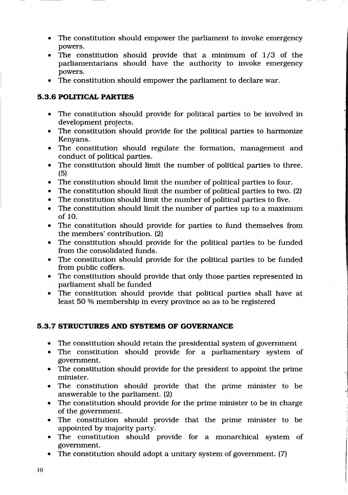- The constitution should empower the parliament to invoke emergency  $\bullet$ powers.
- The constitution should provide that a minimum of 1/3 of the  $\bullet$ parliamentarians should have the authority to invoke emergency powers.
- The constitution should empower the parliament to declare war.  $\bullet$

## 5.3.6 POLITICAL PARTIES

- The constitution should provide for political parties to be involved in  $\bullet$ development projects.
- The constitution should provide for the political parties to harmonize  $\bullet$ Kenyans.
- The constitution should regulate the formation, management and  $\bullet$ conduct of political parties.
- The constitution should limit the number of political parties to three.  $\bullet$ (5)
- The constitution should limit the number of political parties to four. o
- The constitution should limit the number of political parties to two. (2) a
- The constitution should limit the number of political parties to five. a
- The constitution should limit the number of parties up to a maximum of lO. a
- The constitution should provide for parties to fund themselves from  $\bullet$ the members' contribution. (2)
- The constitution should provide for the political parties to be funded  $\bullet$ from the consolidated funds.
- The constitution should provide for the political parties to be funded from public coffers.
- The constitution should provide that only those parties represented in parliament shall be funded
- The constitution should provide that political parties shall have at  $\bullet$ least 50 % membership in every province so as to be registered

## 5.3.7 STRUCTURES AND SYSTEMS OF GOVERNANCE

- The constitution should retain the presidential system of government a
- The constitution should provide for a parliamentary system of government. a
- The constitution should provide for the president to appoint the prime minister.
- The constitution should provide that the prime minister to be answerable to the parliament. (2)
- The constitution should provide for the prime minister to be in charge of the government.
- The constitution should provide that the prime minister to be appointed by majority party.
- The constitution should provide for a monarchical system of government.
- The constitution should adopt a unitary system of government.  $(7)$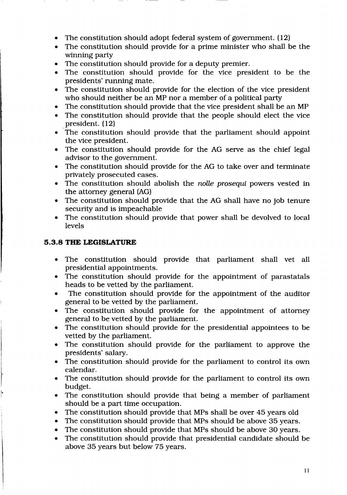- The constitution should adopt federal system of government.  $(12)$
- The constitution should provide for a prime minister who shall be the winning party
- . The constitution should provide for a deputy premier.
- The constitution should provide for the vice president to be the presidents' running mate.
- The constitution should provide for the election of the vice president who should neither be an MP nor a member of a political party
- The constitution should provide that the vice president shall be an MP
- The constitution should provide that the people should elect the vice president. (12)
- . The constitution should provide that the parliament should appoint the vice president.
- The constitution should provide for the AG serve as the chief legal advisor to the government.
- . The constitution should provide for the AG to take over and terminate privately prosecuted cases.
- The constitution should abolish the nolle prosequi powers vested in the attorney general (AG)
- The constitution should provide that the AG shall have no job tenure security and is impeachable
- The constitution should provide that power shall be devolved to local levels

## 5.3.8 THE LEGISLATURE

- . The constitution should provide that parliament shall vet all presidential appointments.
- The constitution should provide for the appointment of parastatals heads to be vetted by the parliament.
- The constitution should provide for the appointment of the auditor general to be vetted by the parliament.
- . The constitution should provide for the appointment of attorney general to be vetted by the parliament.
- The constitution should provide for the presidential appointees to be vetted by the parliament.
- The constitution should provide for the parliament to approve the presidents' salary.
- The constitution should provide for the parliament to control its own calendar.
- . The constitution should provide for the parliament to control its own budget.
- . The constitution should provide that being a member of parliament should be a part time occupation.
- The constitution should provide that MPs shall be over 45 years old
- The constitution should provide that MPs should be above 35 years.
- The constitution should provide that MPs should be above 30 years.
- The constitution should provide that presidential candidate should be above 35 years but below 75 years.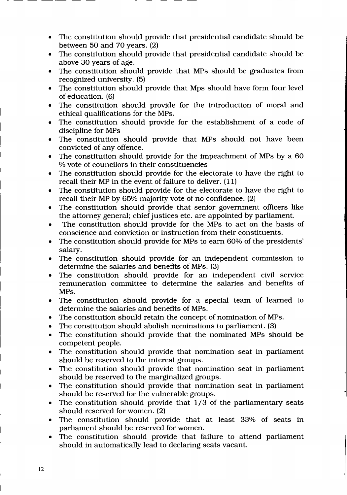- The constitution should provide that presidential candidate should be between 5O and 70 years. (2)
- . The constitution should provide that presidential candidate should be above 3O years of age.
- The constitution should provide that MPs should be graduates from recognized university. (5)
- The constitution should provide that Mps should have form four level of education. (6)
- The constitution should provide for the introduction of moral and ethical qualifications for the MPs.
- . The constitution should provide for the establishment of a code of discipline for MPs
- . The constitution should provide that MPs should not have been convicted of any offence.
- The constitution should provide for the impeachment of MPs by a 60 % vote of councilors in their constituencies
- . The constitution should provide for the electorate to have the right to recall their MP in the event of failure to deliver. (11)
- . The constitution should provide for the electorate to have the right to recall their MP by 65% majority vote of no confidence. (2)
- The constitution should provide that senior government officers like the attorney general; chief justices etc. are appointed by parliament.
- . The constitution should provide for the MPs to act on the basis of conscience and conviction or instruction from their constituents.
- The constitution should provide for MPs to earn 60% of the presidents' salary.
- . The constitution should provide for an independent commission to determine the salaries and benefits of MPs. (3)
- o The constitution should provide for an independent civil service remuneration committee to determine the salaries and benefits of MPs.
- . The constitution should provide for a special team of learned to determine the salaries and benefits of MPs.
- The constitution should retain the concept of nomination of MPs.
- . The constitution should abolish nominations to parliament. (3)
- The constitution should provide that the nominated MPs should be competent people.
- The constitution should provide that nomination seat in parliament should be reserved to the interest groups.
- . The constitution should provide that nomination seat in parliament should be resenred to the marginalized groups.
- . The constitution should provide that nomination seat in parliament should be reserved for the vulnerable groups.
- The constitution should provide that  $1/3$  of the parliamentary seats should reserved for women. (2)
- The constitution should provide that at least 33% of seats in parliament should be reserved for women.
- The constitution should provide that failure to attend parliament should in automatically lead to declaring seats vacant.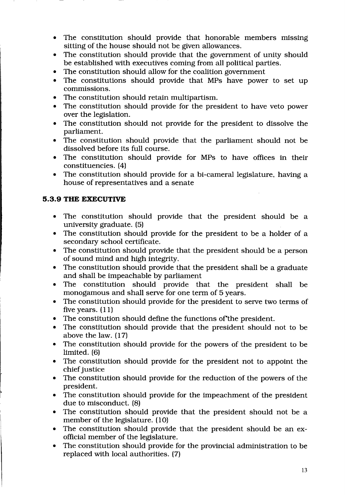- The constitution should provide that honorable members missing sitting of the house should not be given allowances.
- The constitution should provide that the government of unity should be established with executives coming from all political parties.
- The constitution should allow for the coalition government
- The constitutions should provide that MPs have power to set up commissions.
- The constitution should retain multipartism.
- The constitution should provide for the president to have veto power over the legislation.
- The constitution should not provide for the president to dissolve the parliament.
- The constitution should provide that the parliament should not be dissolved before its full course.
- The constitution should provide for MPs to have offices in their constituencies. (4)
- . The constitution should provide for a bi-cameral legislature, having <sup>a</sup> house of representatives and a senate

## 5.3.9 THE EXECUTTVE

- o The constitution should provide that the president should be <sup>a</sup> university graduate. (5)
- The constitution should provide for the president to be a holder of a secondary school certificate.
- The constitution should provide that the president should be a person of sound mind and high integrity.
- The constitution should provide that the president shall be a graduate and shall be impeachable by parliament
- . The constitution should provide that the president shall be monogamous and shall serve for one term of 5 years.
- The constitution should provide for the president to serve two terms of five years.  $(11)$
- o The constitution should define the functions of'the president.
- The constitution should provide that the president should not to be above the law. (17)
- The constitution should provide for the powers of the president to be limited. (6)
- . The constitution should provide for the president not to appoint the chief justice
- The constitution should provide for the reduction of the powers of the president.
- The constitution should provide for the impeachment of the president due to misconduct. (8)
- The constitution should provide that the president should not be a member of the legislature. (10)
- The constitution should provide that the president should be an exofficial member of the legislature.
- The constitution should provide for the provincial administration to be replaced with local authorities. (7)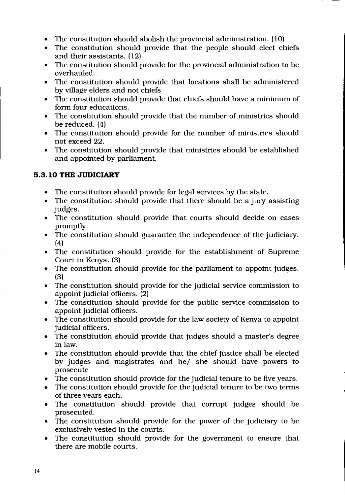- $\bullet$  The constitution should abolish the provincial administration. (10)
- The constitution should provide that the people should elect chiefs and their assistants. (12)
- The constitution should provide for the provincial administration to be overhauled.
- . The constitution should provide that locations shall be administered by village elders and not chiefs
- The constitution should provide that chiefs should have a minimum of form four educations.
- The constitution should provide that the number of ministries should be reduced.  $(4)$
- . The constitution should provide for the number of ministries should not exceed 22.
- The constitution should provide that ministries should be established and appointed by parliament.

### 5.3.10 THE JUDICIARY

- The constitution should provide for legal services by the state.
- The constitution should provide that there should be a jury assisting judges.
- The constitution should provide that courts should decide on cases promptly.
- The constitution should guarantee the independence of the judiciary. (4)
- . The constitution should provide for the establishment of Supreme Court in Kenya. (3)
- The constitution should provide for the parliament to appoint judges. (3)
- The constitution should provide for the judicial service commission to appoint judicial officers. (2)
- The constitution should provide for the public service commission to appoint judicial officers.
- The constitution should provide for the law society of Kenya to appoint judicial officers.
- . The constitution should provide that judges should a master's degree in law.
- The constitution should provide that the chief justice shall be elected by judges and magistrates and he/ she should have powers to prosecute
- . The constitution should provide for the judicial tenure to be five years.
- The constitution should provide for the judicial tenure to be two terms of three years each.
- The constitution should provide that corrupt judges should be prosecuted.
- The constitution should provide for the power of the judiciary to be exclusively vested in the courts.
- . The constitution should provide for the government to ensure that there are mobile courts.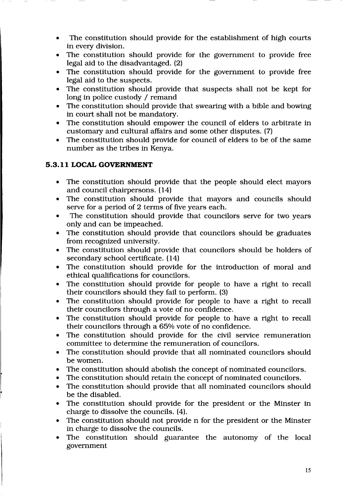- . The constitution should provide for the establishment of high courts in every division.
- The constitution should provide for the government to provide free legal aid to the disadvantaged. (2)
- The constitution should provide for the government to provide free legal aid to the suspects.
- The constitution should provide that suspects shall not be kept for long in police custody / remand
- . The constitution should provide that swearing \Mith a bible and bowing in court shall not be mandatory.
- The constitution should empower the council of elders to arbitrate in customary and cultural affairs and some other disputes. (7)
- The constitution should provide for council of elders to be of the same number as the tribes in Kenya.

## 5.3.11 LOCAL GOVERNMENT

- . The constitution should provide that the people should elect mayors and council chairpersons. (14)
- The constitution should provide that mayors and councils should serve for a period of 2 terms of five years each.
- The constitution should provide that councilors serve for two vears only and can be impeached.
- The constitution should provide that councilors should be graduates from recognized university.
- . The constitution should provide that councilors should be holders of secondary school certificate. (14)
- The constitution should provide for the introduction of moral and ethical qualifications for councilors.
- The constitution should provide for people to have a right to recall their councilors should they fail to perform. (3)
- . The constitution should provide for people to have a right to recall their councilors through a vote of no confidence.
- The constitution should provide for people to have a right to recall their councilors through a  $65\%$  vote of no confidence.
- The constitution should provide for the civil service remuneration committee to determine the remuneration of councilors.
- . The constitution should provide that all nominated councilors should be women.
- The constitution should abolish the concept of nominated councilors.
- . The constitution should retain the concept of nominated councilors.
- The constitution should provide that all nominated councilors should be the disabled.
- The constitution should provide for the president or the Minster in charge to dissolve the councils. (4).
- The constitution should not provide n for the president or the Minster in charge to dissolve the councils.
- . The constitution should guarantee the autonomy of the local government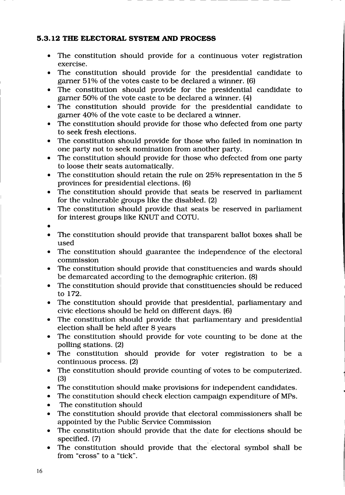#### 5.3.12 THE ELECTORAL SYSTEM AND PROCESS

- The constitution should provide for a continuous voter registration exercise.
- . The constitution should provide for the presidential candidate to garner  $51\%$  of the votes caste to be declared a winner. (6)
- The constitution should provide for the presidential candidate to garner 50% of the vote caste to be declared a winner.  $(4)$
- The constitution should provide for the presidential candidate to garner 40% of the vote caste to be declared a winner.
- The constitution should provide for those who defected from one party to seek fresh elections.
- . The constitution should provide for those who failed in nomination in one party not to seek nomination from another party.
- The constitution should provide for those who defected from one party to loose their seats automatically.
- $\bullet$  The constitution should retain the rule on 25% representation in the 5 provinces for presidential elections. (6)
- The constitution should provide that seats be reserved in parliament for the vulnerable groups like the disabled. (2)
- The constitution should provide that seats be reserved in parliament for interest groups like KNUT and COTU.
- a
- The constitution should provide that transparent ballot boxes shall be used
- The constitution should guarantee the independence of the electoral commission
- . The constitution should provide that constituencies and wards should be demarcated according to the demographic criterion. (8)
- The constitution should provide that constituencies should be reduced to 172.
- The constitution should provide that presidential, parliamentary and civic elections should be held on different days. (6)
- The constitution should provide that parliamentary and presidential election shall be held after 8 years
- The constitution should provide for vote counting to be done at the polling stations. (2)
- The constitution should provide for voter registration to be a continuous process. (2)
- The constitution should provide counting of votes to be computerized. (3)
- The constitution should make provisions for independent candidates.
- The constitution should check election campaign expenditure of MPs.
- The constitution should
- . The constitution should provide that electoral commissioners shall be appointed by the Public Service Commission
- The constitution should provide that the date for elections should be specified. (7)
- The constitution should provide that the electoral symbol shall be from "cross" to a "tick".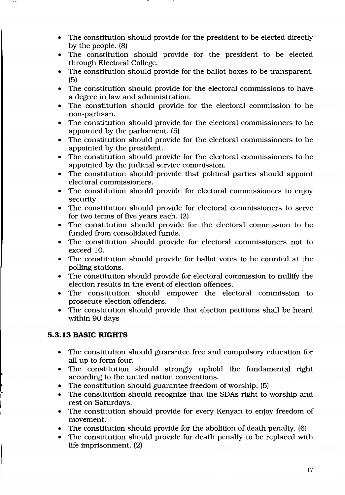- The constitution should provide for the president to be elected directly by the people. (8)
- . The constitution should provide for the president to be elected through Electoral College.
- The constitution should provide for the ballot boxes to be transparent. (5)
- . The constitution should provide for the electoral commissions to have a degree in law and administration.
- The constitution should provide for the electoral commission to be non-partisan.
- . The constitution should provide for the electoral commissioners to be appointed by the parliament. (5)
- . The constitution should provide for the electoral commissioners to be appointed by the president.
- . The constitution should provide for the electoral commissioners to be appointed by the judicial seryice commission.
- The constitution should provide that political parties should appoint electoral commissioners.
- The constitution should provide for electoral commissioners to enjoy security.
- The constitution should provide for electoral commissioners to serve for two terms of five years each. (2)
- The constitution should provide for the electoral commission to be funded from consolidated funds.
- The constitution should provide for electoral commissioners not to exceed 10.
- . The constitution should provide for ballot votes to be counted at the polling stations.
- The constitution should provide for electoral commission to nullify the election results in the event of election offences.
- . The constitution should empower the electoral commission to prosecute election offenders.
- . The constitution should provide that election petitions shall be heard within 90 days

## 5.3.13 BASIC RIGHTS

- The constitution should guarantee free and compulsory education for  $\bullet$ all up to form four.
- The constitution should strongly uphold the fundamental right  $\bullet$ according to the united nation conventions.
- The constitution should guarantee freedom of worship. (5) , and the state  $\mathbf{a}$ 
	- The constitution should recognize that the SDAs right to worship and rest on Saturdays. a
	- The constitution should provide for every Kenyan to enjoy freedom of  $\bullet$ movement.
	- The constitution should provide for the abolition of death penalty. (6) o
	- The constitution should provide for death penalty to be replaced with life imprisonment. (2) a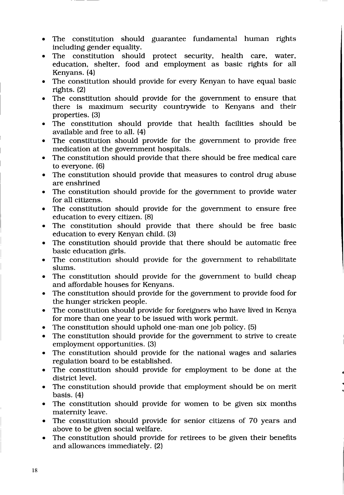- . The constitution should guarantee fundamental human rights including gender equality.
- The constitution should protect security, health care, water, education, shelter, food and employment as basic rights for all Kenyans. (4)
- . The constitution should provide for every Kenyan to have equal basic rights. (2)
- . The constitution should provide for the government to ensure that there is maximum security countrywide to Kenyans and their properties. (3)
- . The constitution should provide that health facilities should be available and free to all. (a)
- The constitution should provide for the government to provide free medication at the government hospitals.
- The constitution should provide that there should be free medical care to everyone. (6)
- The constitution should provide that measures to control drug abuse are enshrined
- . The constitution should provide for the government to provide water for all citizens.
- . The constitution should provide for the government to ensure free education to every citizen. (8)
- . The constitution should provide that there should be free basic education to every Kenyan child. (3)
- . The constitution should provide that there should be automatic free basic education girls.
- The constitution should provide for the government to rehabilitate slums.
- The constitution should provide for the government to build cheap and affordable houses for Kenyans.
- . The constitution should provide for the government to provide food for the hunger stricken people.
- The constitution should provide for foreigners who have lived in Kenya for more than one year to be issued with work permit.
- . The constitution should uphold one-man one job policy. (5)
- The constitution should provide for the government to strive to create employment opportunities. (3)
- The constitution should provide for the national wages and salaries regulation board to be established.
- . The constitution should provide for employment to be done at the district level.
- The constitution should provide that employment should be on merit basis. (4)
- The constitution should provide for women to be given six months maternity leave.
- The constitution should provide for senior citizens of 70 years and above to be given social welfare.
- The constitution should provide for retirees to be given their benefits and allowances immediately. (2)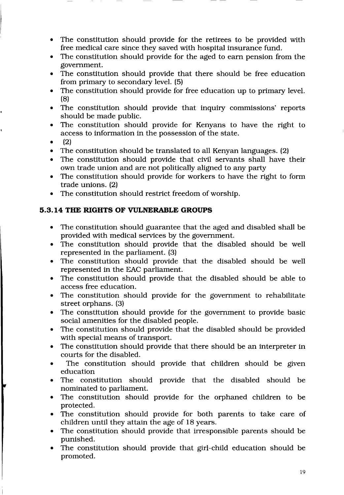- The constitution should provide for the retirees to be provided with free medical care since they saved with hospital insurance fund.
- The constitution should provide for the aged to earn pension from the government.
- The constitution should provide that there should be free education from primary to secondary level. (5)
- . The constitution should provide for free education up to primary level. (8)
- . The constitution should provide that inquiry commissions' reports should be made public.
- . The constitution should provide for Kenyans to have the right to access to information in the possession of the state.
- $\bullet$  (2)
- The constitution should be translated to all Kenyan languages. (2)
- . The constitution should provide that civil servants shall have their own trade union and are not politically aligned to any party
- . The constitution should provide for workers to have the right to form trade unions. (2)
- The constitution should restrict freedom of worship.

## 5.3.14 THE RIGHTS OF VULNERABLE GROUPS

- The constitution should guarantee that the aged and disabled shall be provided with medical services by the government.
- . The constitution should provide that the disabled should be well represented in the parliament. (3)
- The constitution should provide that the disabled should be well represented in the EAC parliament.
- The constitution should provide that the disabled should be able to access free education.
- The constitution should provide for the government to rehabilitate street orphans. (3)
- $\bullet$  The constitution should provide for the government to provide basic social amenities for the disabled people.
- The constitution should provide that the disabled should be provided with special means of transport.
- . The constitution should provide that there should be an interpreter in courts for the disabled.
- . The constitution should provide that children should be given education
- . The constitution should provide that the disabled should be nominated to parliament.
- The constitution should provide for the orphaned children to be protected.
- The constitution should provide for both parents to take care of children until they attain the age of l8 years.
- The constitution should provide that irresponsible parents should be punished.
- The constitution should provide that girl-child education should be promoted.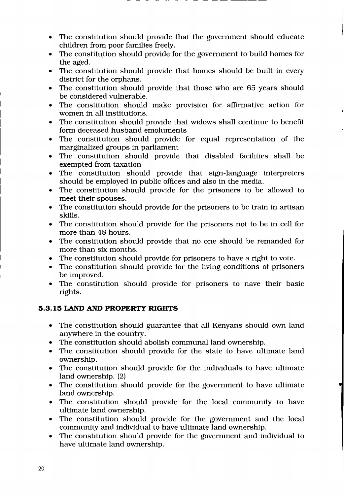- The constitution should provide that the government should educate  $\bullet$ children from poor families freely.
- The constitution should provide for the government to build homes for  $\bullet$ the aged.
- The constitution should provide that homes should be built in every  $\bullet$ district for the orphans.
- The constitution should provide that those who are 65 years should  $\bullet$ be considered vulnerable.
- The constitution should make provision for affirmative action for  $\bullet$ women in all institutions.
- The constitution should provide that widows shall continue to benefit  $\bullet$ form deceased husband emoluments
- The constitution should provide for equal representation of the  $\bullet$ marginalized groups in parliament
- The constitution should provide that disabled facilities shall be  $\bullet$ exempted from taxation
- The constitution should provide that sign-language interpreters should be employed in public offices and also in the media.
- The constitution should provide for the prisoners to be allowed to  $\bullet$ meet their spouses.
- The constitution should provide for the prisoners to be train in artisan skills.
- . The constitution should provide for the prisoners not to be in cell for more than 48 hours.
- The constitution should provide that no one should be remanded for more than six months.
- . The constitution should provide for prisoners to have a right to vote.
- The constitution should provide for the living conditions of prisoners be improved.
- The constitution should provide for prisoners to nave their basic rights.

### 5.3.15 LAND AND PROPERTY RIGHTS

- The constitution should guarantee that all Kenyans should own land anywhere in the country.
- The constitution should abolish communal land ownership.
- The constitution should provide for the state to have ultimate land ownership.
- The constitution should provide for the individuals to have ultimate  $\bullet$ land ownership. (2)
- The constitution should provide for the government to have ultimate land ownership.
- The constitution should provide for the local community to have ultimate land ownership.
- The constitution should provide for the government and the local  $\bullet$ community and individual to have ultimate land ownership.
- The constitution should provide for the government and individual to  $\bullet$ have ultimate land ownership.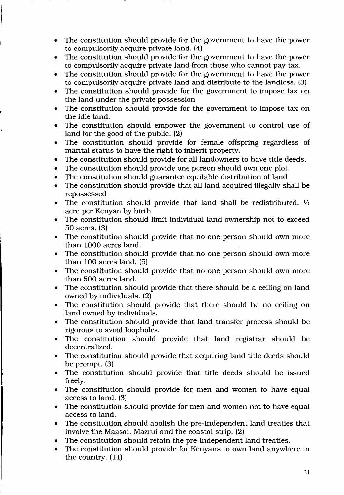- The constitution should provide for the government to have the power to compulsorily acquire private land. (4)
- . The constitution should provide for the government to have the power to compulsorily acquire private land from those who cannot pay tax.
- The constitution should provide for the government to have the power to compulsorily acquire private land and distribute to the landless. (3)
- The constitution should provide for the government to impose tax on the land under the private possession
- The constitution should provide for the government to impose tax on the idle land.
- . The constitution should empower the government to control use of land for the good of the public. (2)
- . The constitution should provide for female offspring regardless of marital status to have the right to inherit property.
- The constitution should provide for all landowners to have title deeds.
- The constitution should provide one person should own one plot.
- The constitution should guarantee equitable distribution of land
- The constitution should provide that all land acquired illegally shall be repossessed
- The constitution should provide that land shall be redistributed,  $\frac{1}{4}$ acre per Kenyan by birth
- . The constitution should limit individual land ownership not to exceed 5O acres. (3)
- . The constitution should provide that no one person should own more than 1000 acres land.
- The constitution should provide that no one person should own more than lO0 acres land. (5)
- . The constitution should provide that no one person should own more than 5OO acres land.
- The constitution should provide that there should be a ceiling on land owned by individuals. (2)
- The constitution should provide that there should be no ceiling on land owned by individuals.
- The constitution should provide that land transfer process should be rigorous to avoid loopholes.
- The constitution should provide that land registrar should be decentralized.
- . The constitution should provide that acquiring land title deeds should be prompt. (3)
- The constitution should provide that title deeds should be issued freely.
- . The constitution should provide for men and women to have equal access to land. (3)
- . The constitution should provide for men and women not to have equal access to land.
- . The constitution should abolish the pre-independent land treaties that involve the Maasai, Mazrui and the coastal strip. (2)
- The constitution should retain the pre-independent land treaties.
- The constitution should provide for Kenyans to own land anywhere in the country. (11)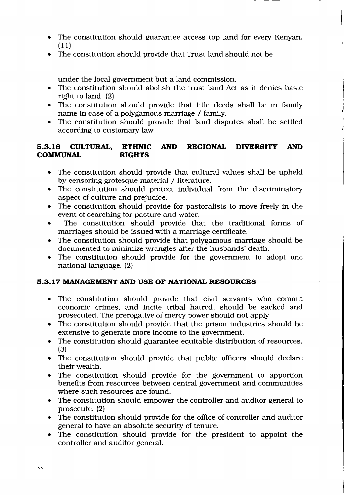- The constitution should guarantee access top land for every Kenyan. (11)
- . The constitution should provide that Trust land should not be

under the local government but a land commission.

- . The constitution should abolish the trust land Act as it denies basic right to land. (2)
- The constitution should provide that title deeds shall be in family name in case of a polygamous marriage / family.
- The constitution should provide that land disputes shall be settled according to customary law

### 5.3.16 CULTURAL, ETHNIC AND REGIONAL DIVERSITY AND COMMUNAL RIGHTS **COMMUNAL**

- The constitution should provide that cultural values shall be upheld by censoring grotesque material / literature.
- The constitution should protect individual from the discriminatory aspect of culture and prejudice.
- The constitution should provide for pastoralists to move freely in the event of searching for pasture and water.
- The constitution should provide that the traditional forms of marriages should be issued with a marriage certificate.
- The constitution should provide that polygamous marriage should be documented to minimize wrangles after the husbands' death.
- The constitution should provide for the government to adopt one national language. (2)

### 5.3.17 MANAGEMENT AND USE OF NATIONAL RESOTIRCES

- o The constitution should provide that civil servants who commit economic crimes, and incite tribal hatred, should be sacked and prosecuted. The prerogative of mercy power should not apply.
- The constitution should provide that the prison industries should be extensive to generate more income to the government.
- . The constitution should guarantee equitable distribution of resources. (3)
- The constitution should provide that public officers should declare their wealth.
- The constitution should provide for the government to apportion benefits from resources between central government and communities where such resources are found.
- . The constitution should empower the controller and auditor general to prosecute.(2)
- . The constitution should provide for the office of controller and auditor general to have an absolute security of tenure.
- The constitution should provide for the president to appoint the controller and auditor general.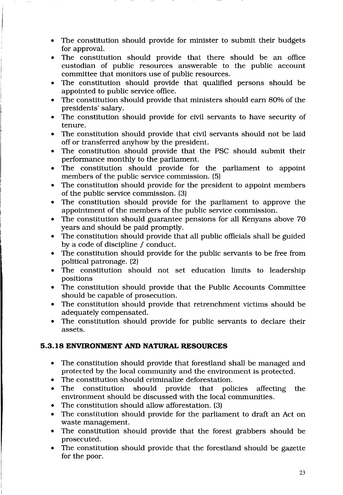- . The constitution should provide for minister to submit their budgets for approval.
- . The constitution should provide that there should be an office custodian of public resources answerable to the public account committee that monitors use of public resources.
- . The constitution should provide that qualified persons should be appointed to public service office.
- The constitution should provide that ministers should earn 80% of the presidents' salary.
- . The constitution should provide for civil servants to have security of tenure.
- The constitution should provide that civil servants should not be laid off or transferred anyhow by the president.
- The constitution should provide that the PSC should submit their performance monthly to the parliament.
- . The constitution should provide for the parliament to appoint members of the public service commission. (5)
- The constitution should provide for the president to appoint members of the public service commission. (3)
- The constitution should provide for the parliament to approve the appointment of the members of the public service commission.
- The constitution should guarantee pensions for all Kenyans above 70 years and should be paid promptly.
- The constitution should provide that all public officials shall be guided by a code of discipline / conduct.
- The constitution should provide for the public servants to be free from political patronage. (2)
- . The constitution should not set education limits to leadership positions
- The constitution should provide that the Public Accounts Committee should be capable of prosecution.
- The constitution should provide that retrenchment victims should be adequately compensated.
- The constitution should provide for public servants to declare their assets.

## 5.3.18 ENVIRONMENT AND NATURAL RESOURCES

- . The constitution should provide that forestland shall be managed and protected by the local community and the environment is protected.
- The constitution should criminalize deforestation.
- The constitution should provide that policies affecting the environment should be discussed with the local communities.
- . The constitution should allow afforestation. (3)
- The constitution should provide for the parliament to draft an Act on waste management.
- The constitution should provide that the forest grabbers should be prosecuted.
- . The constitution should provide that the forestland should be gazette for the poor.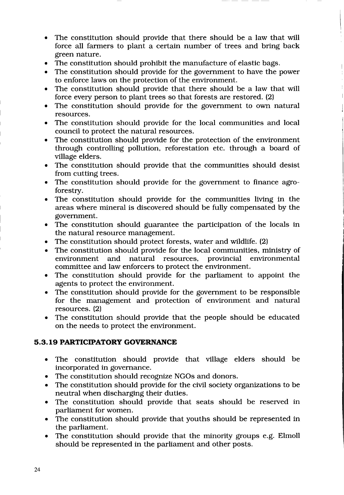- The constitution should provide that there should be a law that will  $\bullet$ force all farmers to plant a certain number of trees and bring back green nature.
- The constitution should prohibit the manufacture of elastic bags. a
- The constitution should provide for the government to have the power to enforce laws on the protection of the environment. o
- The constitution should provide that there should be a law that will force every person to plant trees so that forests are restored. (2)
- The constitution should provide for the government to own natural resources.
- The constitution should provide for the local communities and local council to protect the natural resources.
- The constitution should provide for the protection of the environment through controlling pollution, reforestation etc. through a board of village elders.
- The constitution should provide that the communities should desist from cutting trees.
- The constitution should provide for the government to finance agro- $\bullet$ forestry.
- . The constitution should provide for the communities living in the areas where mineral is discovered should be fully compensated by the government.
- The constitution should guarantee the participation of the locals in the natural resource management.
- . The constitution should protect forests, water and wildlife. (2)
- . The constitution should provide for the local communities, ministry of environment and natural resources, provincial environmental committee and law enforcers to protect the environment.
- . The constitution should provide for the parliament to appoint the agents to protect the environment.
- . The constitution should provide for the government to be responsible for the management and protection of environment and natural resources. (2)
- . The constitution should provide that the people should be educated on the needs to protect the environment.

### 5.3. 19 PARTICIPATORY GOVERNANCE

- The constitution should provide that village elders should be incorporated in governance.
- The constitution should recognize NGOs and donors. a
- The constitution should provide for the civil society organizations to be neutral when discharging their duties. o
- The constitution should provide that seats should be reserved in parliament for women.
- The constitution should provide that youths should be represented in the parliament.
- The constitution should provide that the minority groups e.g. Elmoll should be represented in the parliament and other posts.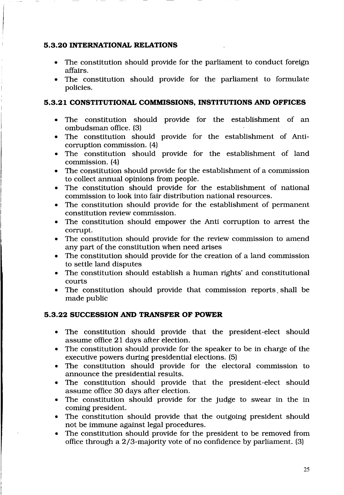### 5.3.20 INTERNATIONAL RELATIONS

- . The constitution should provide for the parliament to conduct foreign affairs.
- . The constitution should provide for the parliament to formulate policies.

## 5.3.21 CONSTITUTIONAL COMMISSIONS, INSTITUTIONS AND OFFICES

- . The constitution should provide for the establishment of an ombudsman office. (3)
- o The constitution should provide for the establishment of Anticorruption commission. (4)
- o The constitution should provide for the establishment of land commission. (4)
- . The constitution should provide for the establishment of a commission to collect annual opinions from people.
- o The constitution should provide for the establishment of national commission to look into fair distribution national resources.
- . The constitution should provide for the establishment of permanent constitution review commission.
- The constitution should empower the Anti corruption to arrest the corrupt.
- The constitution should provide for the review commission to amend any part of the constitution when need arises
- . The constitution should provide for the creation of a land commission to settle land disputes
- The constitution should establish a human rights' and constitutional courts
- The constitution should provide that commission reports shall be made public

## 5.3.22 SUCCESSION AND TRANSFER OF POWER

- o The constitution should provide that the president-elect should assume office 21 days after election.
- The constitution should provide for the speaker to be in charge of the executive powers during presidential elections. (5)
- . The constitution should provide for the electoral commission to announce the presidential results.
- The constitution should provide that the president-elect should assume office 30 days after election.
- . The constitution should provide for the judge to swear in the in coming president.
- The constitution should provide that the outgoing president should not be immune against legal procedures.
- The constitution should provide for the president to be removed from office through a2/3-majority vote of no confidence by parliament. (3)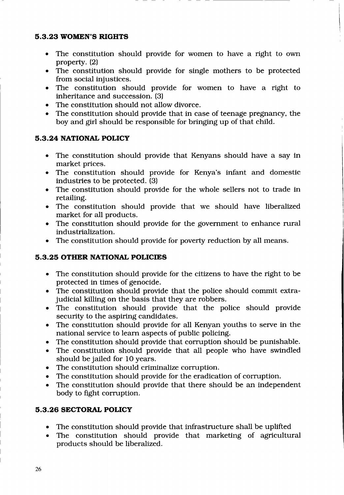#### 5.3.23 WOMEN'S RIGHTS

- The constitution should provide for women to have a right to own property. (2)
- $\bullet$  The constitution should provide for single mothers to be protected from social injustices.
- The constitution should provide for women to have a right to inheritance and succession. (3)
- . The constitution should not allow divorce.
- $\bullet$  The constitution should provide that in case of teenage pregnancy, the boy and girl should be responsible for bringing up of that child.

### 5.3.24 NATIONAL POLICY

- . The constitution should provide that Kenyans should have a say in market prices.
- The constitution should provide for Kenya's infant and domestic industries to be protected. (3)
- The constitution should provide for the whole sellers not to trade in retailing.
- The constitution should provide that we should have liberalized market for all products.
- The constitution should provide for the government to enhance rural industrialization.
- The constitution should provide for poverty reduction by all means.

### 5.3.25 OTHER NATIONAL POLICIES

- . The constitution should provide for the citizens to have the right to be protected in times of genocide.
- The constitution should provide that the police should commit extrajudicial killing on the basis that they are robbers.
- The constitution should provide that the police should provide security to the aspiring candidates.
- The constitution should provide for all Kenyan youths to serve in the national service to learn aspects of public policing.
- The constitution should provide that corruption should be punishable.
- . The constitution should provide that all people who have swindled should be jailed for 1O years.
- The constitution should criminalize corruption.
- The constitution should provide for the eradication of corruption.
- . The constitution should provide that there should be an independent body to fight corruption.

## 5.3.26 SECTORAL POLICY

- The constitution should provide that infrastructure shall be uplifted
- . The constitution should provide that marketing of agricultural products should be liberalized.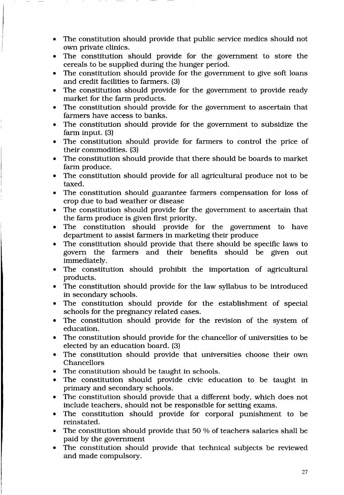- The constitution should provide that public service medics should not own private clinics.
- The constitution should provide for the government to store the cereals to be supplied during the hunger period.
- $\bullet$  The constitution should provide for the government to give soft loans and credit facilities to farmers. (3)
- . The constitution should provide for the government to provide ready market for the farm products.
- The constitution should provide for the government to ascertain that farmers have access to banks.
- The constitution should provide for the government to subsidize the farm input. (3)
- The constitution should provide for farmers to control the price of their commodities. (3)
- The constitution should provide that there should be boards to market farm produce.
- The constitution should provide for all agricultural produce not to be taxed.
- The constitution should guarantee farmers compensation for loss of crop due to bad weather or disease
- The constitution should provide for the government to ascertain that the farm produce is given first priority.
- The constitution should provide for the government to have department to assist farmers in marketing their produce
- The constitution should provide that there should be specific laws to govern the farmers and their benefits should be given out immediately.
- . The constitution should prohibit the importation of agricultural products.
- The constitution should provide for the law syllabus to be introduced in secondary schools.
- The constitution should provide for the establishment of special schools for the pregnancy related cases.
- The constitution should provide for the revision of the system of education.
- The constitution should provide for the chancellor of universities to be elected by an education board. (3)
- The constitution should provide that universities choose their own Chancellors
- . The constitution should be taught in schools.
- The constitution should provide civic education to be taught in primary and secondary schools.
- . The constitution should provide that a different body, which does not include teachers, should not be responsible for setting exams.
- . The constitution should provide for corporal punishment to be reinstated.
- The constitution should provide that  $50%$  of teachers salaries shall be paid by the government
- The constitution should provide that technical subjects be reviewed and made compulsory.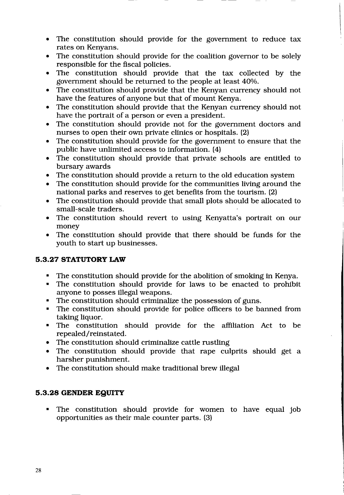- The constitution should provide for the government to reduce tax rates on Kenyans.
- The constitution should provide for the coalition governor to be solely responsible for the fiscal policies.
- The constitution should provide that the tax collected by the government should be returned to the people at least 40%.
- The constitution should provide that the Kenyan currency should not have the features of anyone but that of mount Kenya.
- The constitution should provide that the Kenyan currency should not have the portrait of a person or even a president.
- The constitution should provide not for the government doctors and nurses to open their own private clinics or hospitals. (2)
- . The constitution should provide for the government to ensure that the public have unlimited access to information. (4)
- . The constitution should provide that private schools are entitled to bursary awards
- The constitution should provide a return to the old education system
- The constitution should provide for the communities living around the national parks and reserves to get benefits from the tourism. (2)
- . The constitution should provide that small plots should be allocated to small-scale traders
- The constitution should revert to using Kenyatta's portrait on our money
- The constitution should provide that there should be funds for the youth to start up businesses.

### 5.3.27 STATUTORY LAW

- . The constitution should provide for the abolition of smoking in Kenya.
- . The constitution should provide for laws to be enacted to prohibit anyone to posses illegal weapons.
- . The constitution should criminalize the possession of guns.
- . The constitution should provide for police officers to be banned from taking liquor.
- . The constitution should provide for the affiliation Act to be repealed/reinstated.
- The constitution should criminalize cattle rustling
- The constitution should provide that rape culprits should get a harsher punishment.
- The constitution should make traditional brew illegal

### 5.3.28 GENDER EgUTTY

. The constitution should provide for women to have equal job opportunities as their male counter parts. (3)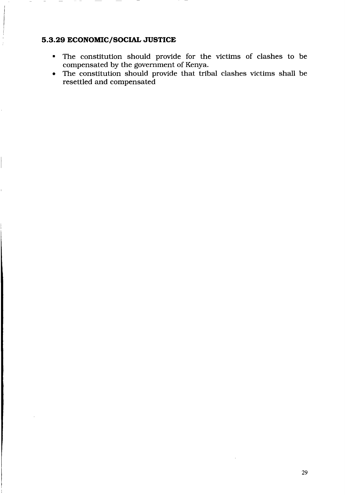#### 5.3.29 ECONOMIC/SOCIAL JUSTICE

- . The constitution should provide for the victims of clashes to be compensated by the government of Kenya.
- . The constitution should provide that tribal clashes victims shall be resettled and compensated

 $\mathcal{A}^{\pm}$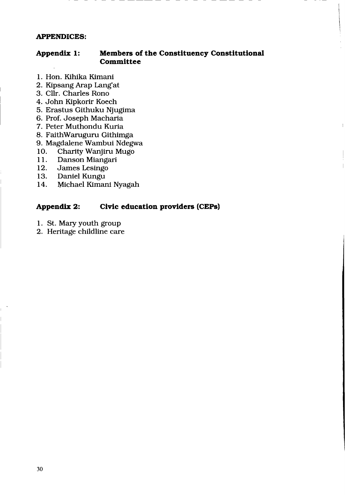#### APPENDICES:

#### Appendix 1: Members of the Constituency Constitutional Committee

- 1. Hon. Kihika Kimani
- 2. Kipsang Arap Lang'at
- 3. Cllr. Charles Rono
- 4. John Kipkorir Koech
- 5. Erastus Githuku Njugima
- 6. Prof. Joseph Macharia
- 7. Peter Muthondu Kuria
- 8. FaithWaruguru Githimga
- 9. Magdalene Wambui Ndegwa<br>10. Charity Wanjiru Mugo
- 10. Charity Wanjiru Mugo<br>11. Danson Miangari
- 11. Danson Miangari<br>12. James Lesingo
- 12. James Lesingo<br>13. Daniel Kungu
- 13. Daniel Kungu<br>14. Michael Kimar
- Michael Kimani Nyagah

#### Appendix 2: Civic education providers (CEPs)

- 1. St. Mary youth group
- 2. Heritage childline care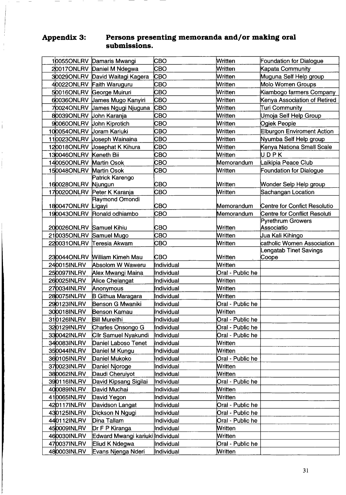#### Appendix 3:  $\frac{1}{2}$  for  $\frac{1}{2}$   $\frac{1}{2}$   $\frac{1}{2}$   $\frac{1}{2}$   $\frac{1}{2}$   $\frac{1}{2}$   $\frac{1}{2}$   $\frac{1}{2}$   $\frac{1}{2}$   $\frac{1}{2}$   $\frac{1}{2}$   $\frac{1}{2}$   $\frac{1}{2}$   $\frac{1}{2}$   $\frac{1}{2}$   $\frac{1}{2}$   $\frac{1}{2}$   $\frac{1}{2}$   $\frac{1}{2}$   $\frac{1}{2}$   $\frac{1}{2$ memoranda and/or making oral

|                           | 10055ONLRV Damaris Mwangi        | сво        | Written          | Foundation for Dialogue           |
|---------------------------|----------------------------------|------------|------------------|-----------------------------------|
|                           | 20017ONLRV Daniel M Ndegwa       | СВО        | Written          | Kapata Community                  |
| 30029ONLRV                | David Waitagi Kagera             | CBO        | Written          | Muguna Self Help group            |
|                           | 40022ONLRV Faith Waruguru        | CBO        | Written          | Molo Women Groups                 |
| 50016ONLRV                | George Muiruri                   | <b>CBO</b> | Written          | Kiambogo farmers Company          |
| 60036ONLRV                | <b>James Mugo Kanyiri</b>        | CBO        | Written          | Kenya Association of Retired      |
| 70024ONLRV                | James Ngugi Njuguna              | CBO        | Written          | Turi Community                    |
| 80039ONLRV                | <b>John Karanja</b>              | CBO        | Written          | Umoja Self Help Group             |
| 90060ONLRV John Kiprotich |                                  | <b>CBO</b> | Written          | Ogiek People                      |
| 100054ONLRV               | <b>Joram Kariuki</b>             | CBO        | Written          | <b>Elburgon Enviroment Action</b> |
| 110023ONLRV               | <b>Joseph Wainaina</b>           | CBO        | Written          | Nyumba Self Help group            |
| 120018ONLRV               | Josephat K Kihura                | CBO        | Written          | Kenya Nationa Small Scale         |
| 130046ONLRV               | Keneth Bii                       | CBO        | Written          | UDPK                              |
| 140050ONLRV               | <b>Martin Osok</b>               | CBO        | Memorandum       | aikipia Peace Club                |
| 150048ONLRV               | Martin Osok                      | <b>CBO</b> | Written          | <b>Foundation for Dialogue</b>    |
|                           | Patrick Karengo                  |            |                  |                                   |
| 160028ONLRV               | Njungun                          | CBO        | Written          | Wonder Selp Help group            |
| 170020ONLRV               | Peter K Karanja                  | CBO        | Written          | Sachangan Location                |
|                           | Raymond Omondi                   |            |                  |                                   |
| 180047ONLRV               | Ligayi                           | CBO        | Memorandum       | Centre for Confict Resolutio      |
| 190043ONLRV               | Ronald odhiambo                  | CBO        | Memorandum       | Centre for Conflict Resoluti      |
| 200026ONLRV Samuel Kihiu  |                                  | СВО        | Written          | Pyrethrum Growers<br>Associatio   |
| 210035ONLRV               | Samuel Mugo                      | CBO        | Written          | Uua Kali Kihingo                  |
| 220031ONLRV               | Teresia Akwam                    | CBO        | Written          | catholic Women Association        |
|                           |                                  |            |                  | <b>Lengatab Tinet Savings</b>     |
| 230044ONLRV               | <b>William Kimeh Mau</b>         | СВО        | <b>Written</b>   | Coope                             |
| 240015INLRV               | Absolom W Waweru                 | Individual | Written          |                                   |
| 250097INLRV               | Alex Mwangi Maina                | Individual | Oral - Public he |                                   |
| 260025INLRV               | Alice Chelangat                  | Individual | Written          |                                   |
| 270034INLRV               | Anonymous                        | Individual | Written          |                                   |
| 280075INLRV               | B Githua Maragara                | Individual | <b>Written</b>   |                                   |
| 290123INLRV               | Benson G Mwaniki                 | Individual | Oral - Public he |                                   |
| 300018INLRV               | Benson Kamau                     | Individual | Written          |                                   |
| 310126INLRV               | <b>Bill Mureithi</b>             | Individual | Oral - Public he |                                   |
| 320129 NLRV               | Charles Onsongo G                | Individual | Oral - Public he |                                   |
| 330042INLRV               | Cllr Samuel Nyakundi             | Individual | Oral - Public he |                                   |
| 340083INLRV               | Daniel Laboso Tenet              | Individual | Written          |                                   |
| 350044INLRV               | Daniel M Kungu                   | Individual | Written          |                                   |
| 360105INLRV               | Daniel Mukoko                    | Individual | Oral - Public he |                                   |
| 370023INLRV               | Daniel Njoroge                   | Individual | Written          |                                   |
| 380062INLRV               | Daudi Cheruiyot                  | Individual | Written          |                                   |
| 390116INLRV               | David Kipsang Sigilai            | Individual | Oral - Public he |                                   |
| 400089INLRV               | David Muchai                     | Individual | Written          |                                   |
| 410065INLRV               | David Yegon                      | Individual | Written          |                                   |
| 420117INLRV               | Davidson Langat                  | Individual | Oral - Public he |                                   |
| 430125INLRV               | Dickson N Ngugi                  | Individual | Oral - Public he |                                   |
| 440112INLRV               | Dina Tallam                      | Individual | Oral - Public he |                                   |
| 450009INLRV               | Dr F P Kiranga                   | Individual | Written          |                                   |
| 460030INLRV               | Edward Mwangi kariuki Individual |            | Written          |                                   |
| 470037INLRV               | Eliud K Ndegwa                   | Individual | Oral - Public he |                                   |
| 480003INLRV               | Evans Njenga Nderi               | Individual | Written          |                                   |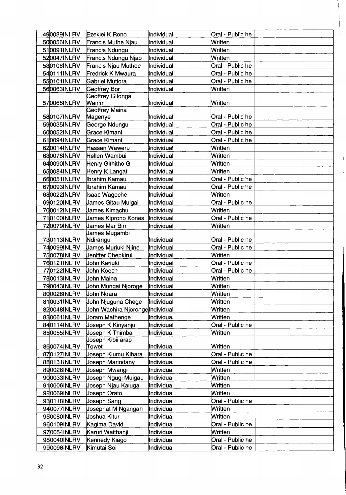| 490039INLRV                | Ezekiel K Rono                   | Individual               | Oral - Public he            |
|----------------------------|----------------------------------|--------------------------|-----------------------------|
| 500056INLRV                | Francis Muthe Njau               | Individual               | Written                     |
| 510091INLRV                | Francis Ndungu                   | Individual               | Written                     |
| 520047INLRV                | Francis Ndungu Njao              | Individual               | Written                     |
| 530106INLRV                | Francis Njau Muthee              | Individual               | Oral - Public he            |
| 540111INLRV                | Fredrick K Mwaura                | Individual               | Oral - Public he            |
| 550101INLRV                | Gabriel Mutiora                  | Individual               | Oral - Public he            |
| 560063INLRV                | Geoffrey Bor                     | Individual               | Written                     |
|                            | Geoffrey Gitonga                 |                          |                             |
| 570066INLRV                | <b>Wairim</b>                    | Individual               | Written                     |
| 580107INLRV                | <b>Geoffrey Maina</b>            | Individual               | Oral - Public he            |
| 590035INLRV                | Magenye<br>George Ndungu         | Individual               | Oral - Public he            |
| 600052INLRV                | Grace Kimani                     | Individual               | Oral - Public he            |
| 610094INLRV                | Grace Kimani                     | Individual               | Oral - Public he            |
|                            | Hassan Waweru                    |                          |                             |
| 620014INLRV                |                                  | Individual               | Written                     |
| 630076INLRV                | Hellen Wambui                    | Individual               | Written<br>Written          |
| 640090INLRV                | Henry Githitho G                 | Individual               |                             |
| 650084INLRV<br>660051INLRV | Henry K Langat                   | Individual<br>Individual | Written                     |
|                            | Ibrahim Kamau                    |                          | Oral - Public he            |
| 670093INLRV                | Ibrahim Kamau                    | Individual               | Oral - Public he<br>Written |
| 680022INLRV                | ∥saac Wageche                    | Individual               |                             |
| 690120INLRV                | James Gitau Muigai               | Individual               | Oral - Public he            |
| 700012INLRV                | James Kimachu                    | Individual               | Written                     |
| 710100INLRV                | James Kiprono Kones              | Individual               | Oral - Public he            |
| 720079INLRV                | James Mar Birr                   | Individual               | Written                     |
| 730113INLRV                | James Mugambi<br>Ndirangu        | Individual               | Oral - Public he            |
| 740099INLRV                | James Muriuki Njine              | Individual               | Oral - Public he            |
| 750078INLRV                | Jeniffer Chepkirui               | Individual               | Written                     |
| 760121INLRV                | John Kariuki                     | Individual               | Oral - Public he            |
| 770122INLRV                | John Koech                       | Individual               | Oral - Public he            |
| 780013INLRV                | John Maina                       | Individual               | Written                     |
| 790043INLRV                | John Mungai Njoroge              | Individual               | Written                     |
| 800028INLRV                | Uohn Ndara                       | Individual               | Written                     |
| 810031INLRV                | John Njuguna Chege               | Individual               | Written                     |
| 820048INLRV                | John Wachira Njoronge Individual |                          | Written                     |
| 830061INLRV                | Joram Mathenge                   | Individual               | Written                     |
| 840114INLRV                | Joseph K Kinyanjui               | Individual               | Oral - Public he            |
| 850055INLRV                | Joseph K Thimba                  | Individual               | Written                     |
|                            | Joseph Kibii arap                |                          |                             |
| 860074INLRV                | Towet                            | llndividual              | Written                     |
| 870127INLRV                | Joseph Kiumu Kihara              | Individual               | Oral - Public he            |
| 880131INLRV                | Joseph Marindany                 | Individual               | Oral - Public he            |
| 890026INLRV                | Joseph Mwangi                    | Individual               | Written                     |
| 900033INLRV                | Joseph Ngugi Muigau              | Individual               | Written                     |
| 910006INLRV                | Joseph Njau Kaluga               | Individual               | Written                     |
| 920069INLRV                | Joseph Orato                     | Individual               | Written                     |
| 930118INLRV                | Joseph Sang                      | Individual               | Oral - Public he            |
| 940077INLRV                | Josephat M Ngangah               | Individual               | Written                     |
| 950080INLRV                | Joshua Kitur                     | Individual               | Written                     |
| 960109INLRV                | Kagima David                     | Individual               | Oral - Public he            |
| 970054INLRV                | Karuri Waithanji                 | Individual               | Written                     |
| 980040INLRV                | Kennedy Kiago                    | Individual               | Oral - Public he            |
| 990098INLRV                | Kimutai Soi                      | Individual               | Oral - Public he            |
|                            |                                  |                          |                             |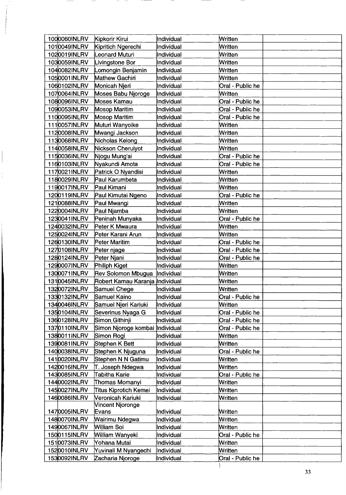| Written<br>1010049INLRV<br>Kipritich Ngerechi<br>Individual<br>1020019INLRV<br>eonard Muturi<br>Written<br>Individual<br>1030059INLRV<br>Livingstone Bor<br>Written<br>Individual<br>1040082INLRV<br>Lomongin Benjamin<br>Written<br>Individual<br>1050001INLRV<br>Mathew Gachiri<br>Written<br>Individual<br>1060102INLRV<br>Monicah Njeri<br>Oral - Public he<br>Individual<br>1070064INLRV<br>Written<br>Moses Babu Njoroge<br>Individual<br>1080096INLRV<br>Moses Kamau<br>Oral - Public he<br>Individual<br>1090053INLRV<br><b>Mosop Maritim</b><br>Individual<br>Oral - Public he<br><b>Mosop Maritim</b><br>Oral - Public he<br>1100095INLRV<br>Individual<br>1110057INLRV<br>Muturi Wanyoike<br>Written<br>Individual<br>1120008INLRV<br>Mwangi Jackson<br>Written<br>Individual<br>1130068INLRV<br>Nicholas Kelong<br>Written<br>Individual<br>1140058INLRV<br>Nickson Cheruiyot<br>Individual<br>Written<br>Njogu Mung'ai<br>1150036INLRV<br>Oral - Public he<br>Individual<br>Nyakundi Amota<br>1160103INLRV<br>Oral - Public he<br>Individual<br>1170021INLRV<br>Written<br>Patrick O Nyandisi<br>Individual<br>1180029INLRV<br>Paul Karumbeta<br>Individual<br>Written<br>Paul Kimani<br>Written<br>1190017INLRV<br>Individual<br>1200119INLRV<br>Paul Kimutai Ngeno<br>Oral - Public he<br>Individual<br>1210088INLRV<br>Paul Mwangi<br>Written<br>Individual<br>1220004INLRV<br>Paul Njamba<br>Written<br>Individual<br>1230041INLRV<br>Peninah Munyaka<br>Individual<br>Oral - Public he<br>Peter K Mwaura<br><b>Written</b><br>1240032INLRV<br>Individual<br>1250024INLRV<br>Peter Karani Arun<br>Written<br>Individual<br>1260130INLRV<br>Peter Maritim<br>Oral - Public he<br>Individual<br>1270108INLRV<br>Individual<br>Oral - Public he<br>Peter njage<br>1280124INLRV<br>Peter Njani<br>Individual<br>Oral - Public he<br>1290007INLRV<br>Philiph Kiget<br>Written<br>Individual<br>1300071INLRV<br>Rev Solomon Mbugua<br>Individual<br>Written<br>Written<br>1310045INLRV<br>Robert Kamau Karanja <i>I</i> Individual<br>1320072INLRV<br>Samuel Chege<br>Individual<br>Written<br>1330132INLRV<br>Samuel Kaino<br>Oral - Public he<br>Individual<br>1340046INLRV<br>Samuel Njeri Kariuki<br>Individual<br>Written<br>1350104INLRV<br>Severinus Nyaga G<br>Individual<br>Oral - Public he<br>Simon Githinji<br>1360128INLRV<br>Individual<br>Oral - Public he<br>1370110INLRV<br>Simon Njoroge kombai  Individual<br>Oral - Public he<br>1380011INLRV<br>Simon Rogi<br>Individual<br>Written<br>1390081INLRV<br>Stephen K Bett<br>Individual<br>Written<br>1400038INLRV<br>Stephen K Njuguna<br>Individual<br>Oral - Public he<br>Stephen N N Gatimu<br>1410020INLRV<br>Written<br>Individual<br>1420016INLRV<br>Written<br>T. Joseph Ndeqwa<br>Individual<br>1430085INLRV<br>Tabitha Karie<br>Oral - Public he<br>Individual<br>1440002INLRV<br>Thomas Momanyi<br>Individual<br>Written<br>1450027INLRV<br>Written<br>Titus Kiprotich Kemei<br>Individual<br>Veronicah Kariuki<br>1460086INLRV<br>Written<br>Individual<br>Vincent Njoronge<br>1470005INLRV<br>Individual<br>Written<br>Evans<br>1480070INLRV<br>Wairimu Ndegwa<br>Individual<br>Written<br>1490067INLRV<br>William Soi<br>Written<br>Individual<br>1500115INLRV<br>William Wanyeki<br>Individual<br>Oral - Public he<br>1510073INLRV<br>Written<br>Yohana Mutai<br>Individual<br>1520010INLRV<br>Yuvinali M Nyangechi<br>Written<br>Individual<br>1530092INLRV<br>Zacharia Nioroge<br>Individual<br>Oral - Public he | 1000060INLRV | Kipkorir Kirui | Individual | Written |
|---------------------------------------------------------------------------------------------------------------------------------------------------------------------------------------------------------------------------------------------------------------------------------------------------------------------------------------------------------------------------------------------------------------------------------------------------------------------------------------------------------------------------------------------------------------------------------------------------------------------------------------------------------------------------------------------------------------------------------------------------------------------------------------------------------------------------------------------------------------------------------------------------------------------------------------------------------------------------------------------------------------------------------------------------------------------------------------------------------------------------------------------------------------------------------------------------------------------------------------------------------------------------------------------------------------------------------------------------------------------------------------------------------------------------------------------------------------------------------------------------------------------------------------------------------------------------------------------------------------------------------------------------------------------------------------------------------------------------------------------------------------------------------------------------------------------------------------------------------------------------------------------------------------------------------------------------------------------------------------------------------------------------------------------------------------------------------------------------------------------------------------------------------------------------------------------------------------------------------------------------------------------------------------------------------------------------------------------------------------------------------------------------------------------------------------------------------------------------------------------------------------------------------------------------------------------------------------------------------------------------------------------------------------------------------------------------------------------------------------------------------------------------------------------------------------------------------------------------------------------------------------------------------------------------------------------------------------------------------------------------------------------------------------------------------------------------------------------------------------------------------------------------------------------------------------------------------------------------------------------------------------------------------------------------------------------------------------------------------------------------------------------------------------------------------------------------------------------------------------------------------------|--------------|----------------|------------|---------|
|                                                                                                                                                                                                                                                                                                                                                                                                                                                                                                                                                                                                                                                                                                                                                                                                                                                                                                                                                                                                                                                                                                                                                                                                                                                                                                                                                                                                                                                                                                                                                                                                                                                                                                                                                                                                                                                                                                                                                                                                                                                                                                                                                                                                                                                                                                                                                                                                                                                                                                                                                                                                                                                                                                                                                                                                                                                                                                                                                                                                                                                                                                                                                                                                                                                                                                                                                                                                                                                                                                               |              |                |            |         |
|                                                                                                                                                                                                                                                                                                                                                                                                                                                                                                                                                                                                                                                                                                                                                                                                                                                                                                                                                                                                                                                                                                                                                                                                                                                                                                                                                                                                                                                                                                                                                                                                                                                                                                                                                                                                                                                                                                                                                                                                                                                                                                                                                                                                                                                                                                                                                                                                                                                                                                                                                                                                                                                                                                                                                                                                                                                                                                                                                                                                                                                                                                                                                                                                                                                                                                                                                                                                                                                                                                               |              |                |            |         |
|                                                                                                                                                                                                                                                                                                                                                                                                                                                                                                                                                                                                                                                                                                                                                                                                                                                                                                                                                                                                                                                                                                                                                                                                                                                                                                                                                                                                                                                                                                                                                                                                                                                                                                                                                                                                                                                                                                                                                                                                                                                                                                                                                                                                                                                                                                                                                                                                                                                                                                                                                                                                                                                                                                                                                                                                                                                                                                                                                                                                                                                                                                                                                                                                                                                                                                                                                                                                                                                                                                               |              |                |            |         |
|                                                                                                                                                                                                                                                                                                                                                                                                                                                                                                                                                                                                                                                                                                                                                                                                                                                                                                                                                                                                                                                                                                                                                                                                                                                                                                                                                                                                                                                                                                                                                                                                                                                                                                                                                                                                                                                                                                                                                                                                                                                                                                                                                                                                                                                                                                                                                                                                                                                                                                                                                                                                                                                                                                                                                                                                                                                                                                                                                                                                                                                                                                                                                                                                                                                                                                                                                                                                                                                                                                               |              |                |            |         |
|                                                                                                                                                                                                                                                                                                                                                                                                                                                                                                                                                                                                                                                                                                                                                                                                                                                                                                                                                                                                                                                                                                                                                                                                                                                                                                                                                                                                                                                                                                                                                                                                                                                                                                                                                                                                                                                                                                                                                                                                                                                                                                                                                                                                                                                                                                                                                                                                                                                                                                                                                                                                                                                                                                                                                                                                                                                                                                                                                                                                                                                                                                                                                                                                                                                                                                                                                                                                                                                                                                               |              |                |            |         |
|                                                                                                                                                                                                                                                                                                                                                                                                                                                                                                                                                                                                                                                                                                                                                                                                                                                                                                                                                                                                                                                                                                                                                                                                                                                                                                                                                                                                                                                                                                                                                                                                                                                                                                                                                                                                                                                                                                                                                                                                                                                                                                                                                                                                                                                                                                                                                                                                                                                                                                                                                                                                                                                                                                                                                                                                                                                                                                                                                                                                                                                                                                                                                                                                                                                                                                                                                                                                                                                                                                               |              |                |            |         |
|                                                                                                                                                                                                                                                                                                                                                                                                                                                                                                                                                                                                                                                                                                                                                                                                                                                                                                                                                                                                                                                                                                                                                                                                                                                                                                                                                                                                                                                                                                                                                                                                                                                                                                                                                                                                                                                                                                                                                                                                                                                                                                                                                                                                                                                                                                                                                                                                                                                                                                                                                                                                                                                                                                                                                                                                                                                                                                                                                                                                                                                                                                                                                                                                                                                                                                                                                                                                                                                                                                               |              |                |            |         |
|                                                                                                                                                                                                                                                                                                                                                                                                                                                                                                                                                                                                                                                                                                                                                                                                                                                                                                                                                                                                                                                                                                                                                                                                                                                                                                                                                                                                                                                                                                                                                                                                                                                                                                                                                                                                                                                                                                                                                                                                                                                                                                                                                                                                                                                                                                                                                                                                                                                                                                                                                                                                                                                                                                                                                                                                                                                                                                                                                                                                                                                                                                                                                                                                                                                                                                                                                                                                                                                                                                               |              |                |            |         |
|                                                                                                                                                                                                                                                                                                                                                                                                                                                                                                                                                                                                                                                                                                                                                                                                                                                                                                                                                                                                                                                                                                                                                                                                                                                                                                                                                                                                                                                                                                                                                                                                                                                                                                                                                                                                                                                                                                                                                                                                                                                                                                                                                                                                                                                                                                                                                                                                                                                                                                                                                                                                                                                                                                                                                                                                                                                                                                                                                                                                                                                                                                                                                                                                                                                                                                                                                                                                                                                                                                               |              |                |            |         |
|                                                                                                                                                                                                                                                                                                                                                                                                                                                                                                                                                                                                                                                                                                                                                                                                                                                                                                                                                                                                                                                                                                                                                                                                                                                                                                                                                                                                                                                                                                                                                                                                                                                                                                                                                                                                                                                                                                                                                                                                                                                                                                                                                                                                                                                                                                                                                                                                                                                                                                                                                                                                                                                                                                                                                                                                                                                                                                                                                                                                                                                                                                                                                                                                                                                                                                                                                                                                                                                                                                               |              |                |            |         |
|                                                                                                                                                                                                                                                                                                                                                                                                                                                                                                                                                                                                                                                                                                                                                                                                                                                                                                                                                                                                                                                                                                                                                                                                                                                                                                                                                                                                                                                                                                                                                                                                                                                                                                                                                                                                                                                                                                                                                                                                                                                                                                                                                                                                                                                                                                                                                                                                                                                                                                                                                                                                                                                                                                                                                                                                                                                                                                                                                                                                                                                                                                                                                                                                                                                                                                                                                                                                                                                                                                               |              |                |            |         |
|                                                                                                                                                                                                                                                                                                                                                                                                                                                                                                                                                                                                                                                                                                                                                                                                                                                                                                                                                                                                                                                                                                                                                                                                                                                                                                                                                                                                                                                                                                                                                                                                                                                                                                                                                                                                                                                                                                                                                                                                                                                                                                                                                                                                                                                                                                                                                                                                                                                                                                                                                                                                                                                                                                                                                                                                                                                                                                                                                                                                                                                                                                                                                                                                                                                                                                                                                                                                                                                                                                               |              |                |            |         |
|                                                                                                                                                                                                                                                                                                                                                                                                                                                                                                                                                                                                                                                                                                                                                                                                                                                                                                                                                                                                                                                                                                                                                                                                                                                                                                                                                                                                                                                                                                                                                                                                                                                                                                                                                                                                                                                                                                                                                                                                                                                                                                                                                                                                                                                                                                                                                                                                                                                                                                                                                                                                                                                                                                                                                                                                                                                                                                                                                                                                                                                                                                                                                                                                                                                                                                                                                                                                                                                                                                               |              |                |            |         |
|                                                                                                                                                                                                                                                                                                                                                                                                                                                                                                                                                                                                                                                                                                                                                                                                                                                                                                                                                                                                                                                                                                                                                                                                                                                                                                                                                                                                                                                                                                                                                                                                                                                                                                                                                                                                                                                                                                                                                                                                                                                                                                                                                                                                                                                                                                                                                                                                                                                                                                                                                                                                                                                                                                                                                                                                                                                                                                                                                                                                                                                                                                                                                                                                                                                                                                                                                                                                                                                                                                               |              |                |            |         |
|                                                                                                                                                                                                                                                                                                                                                                                                                                                                                                                                                                                                                                                                                                                                                                                                                                                                                                                                                                                                                                                                                                                                                                                                                                                                                                                                                                                                                                                                                                                                                                                                                                                                                                                                                                                                                                                                                                                                                                                                                                                                                                                                                                                                                                                                                                                                                                                                                                                                                                                                                                                                                                                                                                                                                                                                                                                                                                                                                                                                                                                                                                                                                                                                                                                                                                                                                                                                                                                                                                               |              |                |            |         |
|                                                                                                                                                                                                                                                                                                                                                                                                                                                                                                                                                                                                                                                                                                                                                                                                                                                                                                                                                                                                                                                                                                                                                                                                                                                                                                                                                                                                                                                                                                                                                                                                                                                                                                                                                                                                                                                                                                                                                                                                                                                                                                                                                                                                                                                                                                                                                                                                                                                                                                                                                                                                                                                                                                                                                                                                                                                                                                                                                                                                                                                                                                                                                                                                                                                                                                                                                                                                                                                                                                               |              |                |            |         |
|                                                                                                                                                                                                                                                                                                                                                                                                                                                                                                                                                                                                                                                                                                                                                                                                                                                                                                                                                                                                                                                                                                                                                                                                                                                                                                                                                                                                                                                                                                                                                                                                                                                                                                                                                                                                                                                                                                                                                                                                                                                                                                                                                                                                                                                                                                                                                                                                                                                                                                                                                                                                                                                                                                                                                                                                                                                                                                                                                                                                                                                                                                                                                                                                                                                                                                                                                                                                                                                                                                               |              |                |            |         |
|                                                                                                                                                                                                                                                                                                                                                                                                                                                                                                                                                                                                                                                                                                                                                                                                                                                                                                                                                                                                                                                                                                                                                                                                                                                                                                                                                                                                                                                                                                                                                                                                                                                                                                                                                                                                                                                                                                                                                                                                                                                                                                                                                                                                                                                                                                                                                                                                                                                                                                                                                                                                                                                                                                                                                                                                                                                                                                                                                                                                                                                                                                                                                                                                                                                                                                                                                                                                                                                                                                               |              |                |            |         |
|                                                                                                                                                                                                                                                                                                                                                                                                                                                                                                                                                                                                                                                                                                                                                                                                                                                                                                                                                                                                                                                                                                                                                                                                                                                                                                                                                                                                                                                                                                                                                                                                                                                                                                                                                                                                                                                                                                                                                                                                                                                                                                                                                                                                                                                                                                                                                                                                                                                                                                                                                                                                                                                                                                                                                                                                                                                                                                                                                                                                                                                                                                                                                                                                                                                                                                                                                                                                                                                                                                               |              |                |            |         |
|                                                                                                                                                                                                                                                                                                                                                                                                                                                                                                                                                                                                                                                                                                                                                                                                                                                                                                                                                                                                                                                                                                                                                                                                                                                                                                                                                                                                                                                                                                                                                                                                                                                                                                                                                                                                                                                                                                                                                                                                                                                                                                                                                                                                                                                                                                                                                                                                                                                                                                                                                                                                                                                                                                                                                                                                                                                                                                                                                                                                                                                                                                                                                                                                                                                                                                                                                                                                                                                                                                               |              |                |            |         |
|                                                                                                                                                                                                                                                                                                                                                                                                                                                                                                                                                                                                                                                                                                                                                                                                                                                                                                                                                                                                                                                                                                                                                                                                                                                                                                                                                                                                                                                                                                                                                                                                                                                                                                                                                                                                                                                                                                                                                                                                                                                                                                                                                                                                                                                                                                                                                                                                                                                                                                                                                                                                                                                                                                                                                                                                                                                                                                                                                                                                                                                                                                                                                                                                                                                                                                                                                                                                                                                                                                               |              |                |            |         |
|                                                                                                                                                                                                                                                                                                                                                                                                                                                                                                                                                                                                                                                                                                                                                                                                                                                                                                                                                                                                                                                                                                                                                                                                                                                                                                                                                                                                                                                                                                                                                                                                                                                                                                                                                                                                                                                                                                                                                                                                                                                                                                                                                                                                                                                                                                                                                                                                                                                                                                                                                                                                                                                                                                                                                                                                                                                                                                                                                                                                                                                                                                                                                                                                                                                                                                                                                                                                                                                                                                               |              |                |            |         |
|                                                                                                                                                                                                                                                                                                                                                                                                                                                                                                                                                                                                                                                                                                                                                                                                                                                                                                                                                                                                                                                                                                                                                                                                                                                                                                                                                                                                                                                                                                                                                                                                                                                                                                                                                                                                                                                                                                                                                                                                                                                                                                                                                                                                                                                                                                                                                                                                                                                                                                                                                                                                                                                                                                                                                                                                                                                                                                                                                                                                                                                                                                                                                                                                                                                                                                                                                                                                                                                                                                               |              |                |            |         |
|                                                                                                                                                                                                                                                                                                                                                                                                                                                                                                                                                                                                                                                                                                                                                                                                                                                                                                                                                                                                                                                                                                                                                                                                                                                                                                                                                                                                                                                                                                                                                                                                                                                                                                                                                                                                                                                                                                                                                                                                                                                                                                                                                                                                                                                                                                                                                                                                                                                                                                                                                                                                                                                                                                                                                                                                                                                                                                                                                                                                                                                                                                                                                                                                                                                                                                                                                                                                                                                                                                               |              |                |            |         |
|                                                                                                                                                                                                                                                                                                                                                                                                                                                                                                                                                                                                                                                                                                                                                                                                                                                                                                                                                                                                                                                                                                                                                                                                                                                                                                                                                                                                                                                                                                                                                                                                                                                                                                                                                                                                                                                                                                                                                                                                                                                                                                                                                                                                                                                                                                                                                                                                                                                                                                                                                                                                                                                                                                                                                                                                                                                                                                                                                                                                                                                                                                                                                                                                                                                                                                                                                                                                                                                                                                               |              |                |            |         |
|                                                                                                                                                                                                                                                                                                                                                                                                                                                                                                                                                                                                                                                                                                                                                                                                                                                                                                                                                                                                                                                                                                                                                                                                                                                                                                                                                                                                                                                                                                                                                                                                                                                                                                                                                                                                                                                                                                                                                                                                                                                                                                                                                                                                                                                                                                                                                                                                                                                                                                                                                                                                                                                                                                                                                                                                                                                                                                                                                                                                                                                                                                                                                                                                                                                                                                                                                                                                                                                                                                               |              |                |            |         |
|                                                                                                                                                                                                                                                                                                                                                                                                                                                                                                                                                                                                                                                                                                                                                                                                                                                                                                                                                                                                                                                                                                                                                                                                                                                                                                                                                                                                                                                                                                                                                                                                                                                                                                                                                                                                                                                                                                                                                                                                                                                                                                                                                                                                                                                                                                                                                                                                                                                                                                                                                                                                                                                                                                                                                                                                                                                                                                                                                                                                                                                                                                                                                                                                                                                                                                                                                                                                                                                                                                               |              |                |            |         |
|                                                                                                                                                                                                                                                                                                                                                                                                                                                                                                                                                                                                                                                                                                                                                                                                                                                                                                                                                                                                                                                                                                                                                                                                                                                                                                                                                                                                                                                                                                                                                                                                                                                                                                                                                                                                                                                                                                                                                                                                                                                                                                                                                                                                                                                                                                                                                                                                                                                                                                                                                                                                                                                                                                                                                                                                                                                                                                                                                                                                                                                                                                                                                                                                                                                                                                                                                                                                                                                                                                               |              |                |            |         |
|                                                                                                                                                                                                                                                                                                                                                                                                                                                                                                                                                                                                                                                                                                                                                                                                                                                                                                                                                                                                                                                                                                                                                                                                                                                                                                                                                                                                                                                                                                                                                                                                                                                                                                                                                                                                                                                                                                                                                                                                                                                                                                                                                                                                                                                                                                                                                                                                                                                                                                                                                                                                                                                                                                                                                                                                                                                                                                                                                                                                                                                                                                                                                                                                                                                                                                                                                                                                                                                                                                               |              |                |            |         |
|                                                                                                                                                                                                                                                                                                                                                                                                                                                                                                                                                                                                                                                                                                                                                                                                                                                                                                                                                                                                                                                                                                                                                                                                                                                                                                                                                                                                                                                                                                                                                                                                                                                                                                                                                                                                                                                                                                                                                                                                                                                                                                                                                                                                                                                                                                                                                                                                                                                                                                                                                                                                                                                                                                                                                                                                                                                                                                                                                                                                                                                                                                                                                                                                                                                                                                                                                                                                                                                                                                               |              |                |            |         |
|                                                                                                                                                                                                                                                                                                                                                                                                                                                                                                                                                                                                                                                                                                                                                                                                                                                                                                                                                                                                                                                                                                                                                                                                                                                                                                                                                                                                                                                                                                                                                                                                                                                                                                                                                                                                                                                                                                                                                                                                                                                                                                                                                                                                                                                                                                                                                                                                                                                                                                                                                                                                                                                                                                                                                                                                                                                                                                                                                                                                                                                                                                                                                                                                                                                                                                                                                                                                                                                                                                               |              |                |            |         |
|                                                                                                                                                                                                                                                                                                                                                                                                                                                                                                                                                                                                                                                                                                                                                                                                                                                                                                                                                                                                                                                                                                                                                                                                                                                                                                                                                                                                                                                                                                                                                                                                                                                                                                                                                                                                                                                                                                                                                                                                                                                                                                                                                                                                                                                                                                                                                                                                                                                                                                                                                                                                                                                                                                                                                                                                                                                                                                                                                                                                                                                                                                                                                                                                                                                                                                                                                                                                                                                                                                               |              |                |            |         |
|                                                                                                                                                                                                                                                                                                                                                                                                                                                                                                                                                                                                                                                                                                                                                                                                                                                                                                                                                                                                                                                                                                                                                                                                                                                                                                                                                                                                                                                                                                                                                                                                                                                                                                                                                                                                                                                                                                                                                                                                                                                                                                                                                                                                                                                                                                                                                                                                                                                                                                                                                                                                                                                                                                                                                                                                                                                                                                                                                                                                                                                                                                                                                                                                                                                                                                                                                                                                                                                                                                               |              |                |            |         |
|                                                                                                                                                                                                                                                                                                                                                                                                                                                                                                                                                                                                                                                                                                                                                                                                                                                                                                                                                                                                                                                                                                                                                                                                                                                                                                                                                                                                                                                                                                                                                                                                                                                                                                                                                                                                                                                                                                                                                                                                                                                                                                                                                                                                                                                                                                                                                                                                                                                                                                                                                                                                                                                                                                                                                                                                                                                                                                                                                                                                                                                                                                                                                                                                                                                                                                                                                                                                                                                                                                               |              |                |            |         |
|                                                                                                                                                                                                                                                                                                                                                                                                                                                                                                                                                                                                                                                                                                                                                                                                                                                                                                                                                                                                                                                                                                                                                                                                                                                                                                                                                                                                                                                                                                                                                                                                                                                                                                                                                                                                                                                                                                                                                                                                                                                                                                                                                                                                                                                                                                                                                                                                                                                                                                                                                                                                                                                                                                                                                                                                                                                                                                                                                                                                                                                                                                                                                                                                                                                                                                                                                                                                                                                                                                               |              |                |            |         |
|                                                                                                                                                                                                                                                                                                                                                                                                                                                                                                                                                                                                                                                                                                                                                                                                                                                                                                                                                                                                                                                                                                                                                                                                                                                                                                                                                                                                                                                                                                                                                                                                                                                                                                                                                                                                                                                                                                                                                                                                                                                                                                                                                                                                                                                                                                                                                                                                                                                                                                                                                                                                                                                                                                                                                                                                                                                                                                                                                                                                                                                                                                                                                                                                                                                                                                                                                                                                                                                                                                               |              |                |            |         |
|                                                                                                                                                                                                                                                                                                                                                                                                                                                                                                                                                                                                                                                                                                                                                                                                                                                                                                                                                                                                                                                                                                                                                                                                                                                                                                                                                                                                                                                                                                                                                                                                                                                                                                                                                                                                                                                                                                                                                                                                                                                                                                                                                                                                                                                                                                                                                                                                                                                                                                                                                                                                                                                                                                                                                                                                                                                                                                                                                                                                                                                                                                                                                                                                                                                                                                                                                                                                                                                                                                               |              |                |            |         |
|                                                                                                                                                                                                                                                                                                                                                                                                                                                                                                                                                                                                                                                                                                                                                                                                                                                                                                                                                                                                                                                                                                                                                                                                                                                                                                                                                                                                                                                                                                                                                                                                                                                                                                                                                                                                                                                                                                                                                                                                                                                                                                                                                                                                                                                                                                                                                                                                                                                                                                                                                                                                                                                                                                                                                                                                                                                                                                                                                                                                                                                                                                                                                                                                                                                                                                                                                                                                                                                                                                               |              |                |            |         |
|                                                                                                                                                                                                                                                                                                                                                                                                                                                                                                                                                                                                                                                                                                                                                                                                                                                                                                                                                                                                                                                                                                                                                                                                                                                                                                                                                                                                                                                                                                                                                                                                                                                                                                                                                                                                                                                                                                                                                                                                                                                                                                                                                                                                                                                                                                                                                                                                                                                                                                                                                                                                                                                                                                                                                                                                                                                                                                                                                                                                                                                                                                                                                                                                                                                                                                                                                                                                                                                                                                               |              |                |            |         |
|                                                                                                                                                                                                                                                                                                                                                                                                                                                                                                                                                                                                                                                                                                                                                                                                                                                                                                                                                                                                                                                                                                                                                                                                                                                                                                                                                                                                                                                                                                                                                                                                                                                                                                                                                                                                                                                                                                                                                                                                                                                                                                                                                                                                                                                                                                                                                                                                                                                                                                                                                                                                                                                                                                                                                                                                                                                                                                                                                                                                                                                                                                                                                                                                                                                                                                                                                                                                                                                                                                               |              |                |            |         |
|                                                                                                                                                                                                                                                                                                                                                                                                                                                                                                                                                                                                                                                                                                                                                                                                                                                                                                                                                                                                                                                                                                                                                                                                                                                                                                                                                                                                                                                                                                                                                                                                                                                                                                                                                                                                                                                                                                                                                                                                                                                                                                                                                                                                                                                                                                                                                                                                                                                                                                                                                                                                                                                                                                                                                                                                                                                                                                                                                                                                                                                                                                                                                                                                                                                                                                                                                                                                                                                                                                               |              |                |            |         |
|                                                                                                                                                                                                                                                                                                                                                                                                                                                                                                                                                                                                                                                                                                                                                                                                                                                                                                                                                                                                                                                                                                                                                                                                                                                                                                                                                                                                                                                                                                                                                                                                                                                                                                                                                                                                                                                                                                                                                                                                                                                                                                                                                                                                                                                                                                                                                                                                                                                                                                                                                                                                                                                                                                                                                                                                                                                                                                                                                                                                                                                                                                                                                                                                                                                                                                                                                                                                                                                                                                               |              |                |            |         |
|                                                                                                                                                                                                                                                                                                                                                                                                                                                                                                                                                                                                                                                                                                                                                                                                                                                                                                                                                                                                                                                                                                                                                                                                                                                                                                                                                                                                                                                                                                                                                                                                                                                                                                                                                                                                                                                                                                                                                                                                                                                                                                                                                                                                                                                                                                                                                                                                                                                                                                                                                                                                                                                                                                                                                                                                                                                                                                                                                                                                                                                                                                                                                                                                                                                                                                                                                                                                                                                                                                               |              |                |            |         |
|                                                                                                                                                                                                                                                                                                                                                                                                                                                                                                                                                                                                                                                                                                                                                                                                                                                                                                                                                                                                                                                                                                                                                                                                                                                                                                                                                                                                                                                                                                                                                                                                                                                                                                                                                                                                                                                                                                                                                                                                                                                                                                                                                                                                                                                                                                                                                                                                                                                                                                                                                                                                                                                                                                                                                                                                                                                                                                                                                                                                                                                                                                                                                                                                                                                                                                                                                                                                                                                                                                               |              |                |            |         |
|                                                                                                                                                                                                                                                                                                                                                                                                                                                                                                                                                                                                                                                                                                                                                                                                                                                                                                                                                                                                                                                                                                                                                                                                                                                                                                                                                                                                                                                                                                                                                                                                                                                                                                                                                                                                                                                                                                                                                                                                                                                                                                                                                                                                                                                                                                                                                                                                                                                                                                                                                                                                                                                                                                                                                                                                                                                                                                                                                                                                                                                                                                                                                                                                                                                                                                                                                                                                                                                                                                               |              |                |            |         |
|                                                                                                                                                                                                                                                                                                                                                                                                                                                                                                                                                                                                                                                                                                                                                                                                                                                                                                                                                                                                                                                                                                                                                                                                                                                                                                                                                                                                                                                                                                                                                                                                                                                                                                                                                                                                                                                                                                                                                                                                                                                                                                                                                                                                                                                                                                                                                                                                                                                                                                                                                                                                                                                                                                                                                                                                                                                                                                                                                                                                                                                                                                                                                                                                                                                                                                                                                                                                                                                                                                               |              |                |            |         |
|                                                                                                                                                                                                                                                                                                                                                                                                                                                                                                                                                                                                                                                                                                                                                                                                                                                                                                                                                                                                                                                                                                                                                                                                                                                                                                                                                                                                                                                                                                                                                                                                                                                                                                                                                                                                                                                                                                                                                                                                                                                                                                                                                                                                                                                                                                                                                                                                                                                                                                                                                                                                                                                                                                                                                                                                                                                                                                                                                                                                                                                                                                                                                                                                                                                                                                                                                                                                                                                                                                               |              |                |            |         |
|                                                                                                                                                                                                                                                                                                                                                                                                                                                                                                                                                                                                                                                                                                                                                                                                                                                                                                                                                                                                                                                                                                                                                                                                                                                                                                                                                                                                                                                                                                                                                                                                                                                                                                                                                                                                                                                                                                                                                                                                                                                                                                                                                                                                                                                                                                                                                                                                                                                                                                                                                                                                                                                                                                                                                                                                                                                                                                                                                                                                                                                                                                                                                                                                                                                                                                                                                                                                                                                                                                               |              |                |            |         |
|                                                                                                                                                                                                                                                                                                                                                                                                                                                                                                                                                                                                                                                                                                                                                                                                                                                                                                                                                                                                                                                                                                                                                                                                                                                                                                                                                                                                                                                                                                                                                                                                                                                                                                                                                                                                                                                                                                                                                                                                                                                                                                                                                                                                                                                                                                                                                                                                                                                                                                                                                                                                                                                                                                                                                                                                                                                                                                                                                                                                                                                                                                                                                                                                                                                                                                                                                                                                                                                                                                               |              |                |            |         |
|                                                                                                                                                                                                                                                                                                                                                                                                                                                                                                                                                                                                                                                                                                                                                                                                                                                                                                                                                                                                                                                                                                                                                                                                                                                                                                                                                                                                                                                                                                                                                                                                                                                                                                                                                                                                                                                                                                                                                                                                                                                                                                                                                                                                                                                                                                                                                                                                                                                                                                                                                                                                                                                                                                                                                                                                                                                                                                                                                                                                                                                                                                                                                                                                                                                                                                                                                                                                                                                                                                               |              |                |            |         |
|                                                                                                                                                                                                                                                                                                                                                                                                                                                                                                                                                                                                                                                                                                                                                                                                                                                                                                                                                                                                                                                                                                                                                                                                                                                                                                                                                                                                                                                                                                                                                                                                                                                                                                                                                                                                                                                                                                                                                                                                                                                                                                                                                                                                                                                                                                                                                                                                                                                                                                                                                                                                                                                                                                                                                                                                                                                                                                                                                                                                                                                                                                                                                                                                                                                                                                                                                                                                                                                                                                               |              |                |            |         |
|                                                                                                                                                                                                                                                                                                                                                                                                                                                                                                                                                                                                                                                                                                                                                                                                                                                                                                                                                                                                                                                                                                                                                                                                                                                                                                                                                                                                                                                                                                                                                                                                                                                                                                                                                                                                                                                                                                                                                                                                                                                                                                                                                                                                                                                                                                                                                                                                                                                                                                                                                                                                                                                                                                                                                                                                                                                                                                                                                                                                                                                                                                                                                                                                                                                                                                                                                                                                                                                                                                               |              |                |            |         |
|                                                                                                                                                                                                                                                                                                                                                                                                                                                                                                                                                                                                                                                                                                                                                                                                                                                                                                                                                                                                                                                                                                                                                                                                                                                                                                                                                                                                                                                                                                                                                                                                                                                                                                                                                                                                                                                                                                                                                                                                                                                                                                                                                                                                                                                                                                                                                                                                                                                                                                                                                                                                                                                                                                                                                                                                                                                                                                                                                                                                                                                                                                                                                                                                                                                                                                                                                                                                                                                                                                               |              |                |            |         |
|                                                                                                                                                                                                                                                                                                                                                                                                                                                                                                                                                                                                                                                                                                                                                                                                                                                                                                                                                                                                                                                                                                                                                                                                                                                                                                                                                                                                                                                                                                                                                                                                                                                                                                                                                                                                                                                                                                                                                                                                                                                                                                                                                                                                                                                                                                                                                                                                                                                                                                                                                                                                                                                                                                                                                                                                                                                                                                                                                                                                                                                                                                                                                                                                                                                                                                                                                                                                                                                                                                               |              |                |            |         |
|                                                                                                                                                                                                                                                                                                                                                                                                                                                                                                                                                                                                                                                                                                                                                                                                                                                                                                                                                                                                                                                                                                                                                                                                                                                                                                                                                                                                                                                                                                                                                                                                                                                                                                                                                                                                                                                                                                                                                                                                                                                                                                                                                                                                                                                                                                                                                                                                                                                                                                                                                                                                                                                                                                                                                                                                                                                                                                                                                                                                                                                                                                                                                                                                                                                                                                                                                                                                                                                                                                               |              |                |            |         |
|                                                                                                                                                                                                                                                                                                                                                                                                                                                                                                                                                                                                                                                                                                                                                                                                                                                                                                                                                                                                                                                                                                                                                                                                                                                                                                                                                                                                                                                                                                                                                                                                                                                                                                                                                                                                                                                                                                                                                                                                                                                                                                                                                                                                                                                                                                                                                                                                                                                                                                                                                                                                                                                                                                                                                                                                                                                                                                                                                                                                                                                                                                                                                                                                                                                                                                                                                                                                                                                                                                               |              |                |            |         |

33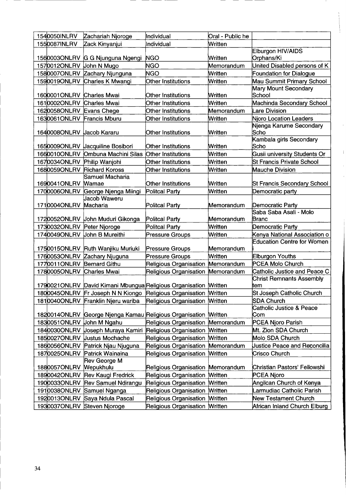| 1540050INLRV               | Zachariah Njoroge                                                 | Individual                            | Oral - Public he |                                            |
|----------------------------|-------------------------------------------------------------------|---------------------------------------|------------------|--------------------------------------------|
| 1550087INLRV               | Zack Kinyanjui                                                    | Individual                            | Written          |                                            |
|                            |                                                                   |                                       |                  | Elburgon HIV/AIDS                          |
|                            | 1560003ONLRV G G Njunguna Ngengi                                  | <b>NGO</b>                            | Written          | Orphans/Ki                                 |
| 1570012ONLRV               | John N Mugo                                                       | NGO                                   | Memorandum       | United Disabled persons of K               |
| 1580007ONLRV               | Zachary Njunguna                                                  | <b>NGO</b>                            | Written          | <b>Foundation for Dialogue</b>             |
| 1590019ONLRV               | Charles K Mwangi                                                  | Other Institutions                    | Written          | Mau Summit Primary School                  |
|                            |                                                                   |                                       |                  | Mary Mount Secondary                       |
| 1600001ONLRV Charles Mwai  |                                                                   | Other Institutions                    | Written          | School                                     |
| 1610002ONLRV Charles Mwai  |                                                                   | Other Institutions                    | Written          | Machinda Secondary School                  |
| 1620058ONLRV               | Evans Chege                                                       | Other Institutions                    | Memorandum       | Lare Division                              |
| 1630061ONLRV Francis Mburu |                                                                   | Other Institutions                    | Written          | <b>Njoro Location Leaders</b>              |
| 1640008ONLRV Jacob Kararu  |                                                                   | Other Institutions                    | Written          | Njenga Karume Secondary<br>Scho            |
|                            |                                                                   |                                       |                  | Kambala girls Secondary                    |
|                            | 1650009ONLRV Uacquiline Bosibori                                  | Other Institutions                    | Written          | Scho                                       |
| 1660010ONLRV               | Ombuna Machini Silas Other Institutions                           |                                       | Written          | Gusii university Students Or               |
| 1670034ONLRV               | Philip Wanjohi                                                    | Other Institutions                    | Written          | St Francis Private School                  |
| 1680059ONLRV               | <b>Richard Koross</b>                                             | Other Institutions                    | Written          | Mauche Division                            |
|                            | Samuel Macharia                                                   |                                       |                  |                                            |
| 1690041ONLRV Mamae         |                                                                   | Other Institutions                    | Written          | St Francis Secondary School                |
| 1700006ONLRV               | George Njenga Miingi                                              | Politcal Party                        | Written          | Democratic party                           |
|                            | Jacob Waweru                                                      | Politcal Party                        | Memorandum       |                                            |
| 1710004ONLRV Macharia      |                                                                   |                                       |                  | Democratic Party<br>Saba Saba Asali - Molo |
|                            | 1720052ONLRV John Muduri Gikonga                                  | Politcal Party                        | Memorandum       | Branc                                      |
| 1730032ONLRV Peter Njoroge |                                                                   | Politcal Party                        | Written          | Democratic Party                           |
| 1740049ONLRV               | John B Mureithi                                                   | Pressure Groups                       | Written          | Kenya National Association o               |
|                            | 1750015ONLRV Ruth Wanjiku Muriuki                                 | <b>Pressure Groups</b>                | Memorandum       | <b>Education Centre for Women</b>          |
|                            | 1760053ONLRV Zachary Njuguna                                      | <b>Pressure Groups</b>                | Written          | Elburgon Youths                            |
| 1770011ONLRV Bernard Githu |                                                                   | Religious Organisation                | Memorandum       | PCEA Molo Church                           |
| 1780005ONLRV Charles Mwai  |                                                                   | Religious Organisation Memorandum     |                  | Catholic Justice and Peace C               |
|                            |                                                                   |                                       |                  | <b>Christ Remnants Assembly</b>            |
|                            | 1790021ONLRV David Kimani Mbungua Religious Organisation Written  |                                       |                  | ltem                                       |
|                            | 1800045ONLRV Fr Joseph N N Kiongo Religious Organisation Written  |                                       |                  | St Joseph Catholic Church                  |
|                            | 1810040ONLRV Franklin Njeru wariba Religious Organisation Mritten |                                       |                  | SDA Church                                 |
|                            | 1820014ONLRV George Njenga Kamau Religious Organisation Written   |                                       |                  | <b>Catholic Justice &amp; Peace</b><br>Com |
| 1830051ONLRV John M Ngahu  |                                                                   | Religious Organisation Memorandum     |                  | PCEA Njoro Parish                          |
|                            | 1840030ONLRV Uoseph Muraya Kamiri Religious Organisation Written  |                                       |                  | Mt. Zion SDA Church                        |
| 1850027ONLRV               | <b>Justus Mochache</b>                                            | Religious Organisation Mritten        |                  | Molo SDA Church                            |
| 1860056ONLRV               | Patrick Njau Njuguna                                              | Religious Organisation                | Memorandum       | <b>Justice Peace and Reconcilia</b>        |
| 1870025ONLRV               | Patrick Wainaina                                                  | Religious Organisation Mritten        |                  | Crisco Church                              |
|                            | Rev George M                                                      |                                       |                  |                                            |
| 1880057ONLRV               | <b>Wepukhulu</b>                                                  | Religious Organisation Memorandum     |                  | Christian Pastors' Fellowshi               |
|                            | 1890042ONLRV Rev Kaugi Fredrick                                   | Religious Organisation Mritten        |                  | PCEA Njoro                                 |
|                            | 1900033ONLRV Rev Samuel Ndirangu                                  | Religious Organisation Mritten        |                  | Angilcan Church of Kenya                   |
| 1910038ONLRV               | Samuel Nganga                                                     | Religious Organisation Mritten        |                  | Larmudiac Catholic Parish                  |
| 1920013ONLRV               | Saya Ndula Pascal                                                 | Religious Organisation Mritten        |                  | <b>New Testament Church</b>                |
| 1930037ONLRV               | Steven Njoroge                                                    | <b>Religious Organisation Written</b> |                  | African Inland Church Elburg               |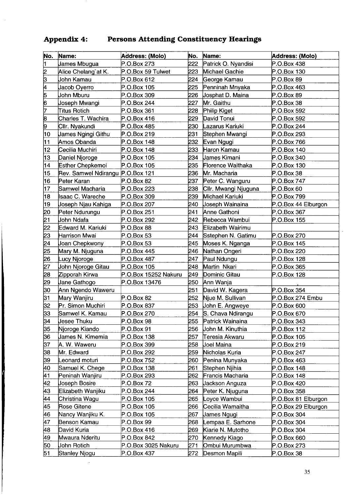## Appendix 4: Persons Attending Constituency Hearings

| No. | Name:                            | Address: (Molo)      | No.  | Name:                    | <b>Address: (Molo)</b> |
|-----|----------------------------------|----------------------|------|--------------------------|------------------------|
| ł1  | James Mbugua                     | P.O.Box 273          | 222  | Patrick O. Nyandisi      | P.O.Box 438            |
| 2   | Alice Chelang`at K.              | P.O.Box 59 Tulwet    | 223  | Michael Gachie           | P.O.Box 130            |
| 5   | John Kamau                       | P.O.Box 612          | 224  | George Kamau             | P.O.Box 89             |
| þ.  | Jacob Oyerro                     | P.O.Box 105          | 225  | Penninah Mnyaka          | P.O.Box 463            |
| 5   | John Mburu                       | P.O.Box 309          | 226  | <b>Josphat D. Maina</b>  | P.O.Box 89             |
| 6   | Uoseph Mwangi                    | P.O.Box 244          | 227  | Mr. Gaithu               | P.O.Box 38             |
| 7   | Titus Rotich                     | P.O.Box 361          | 228  | Philip Kiget             | P.O.Box 592            |
| 8   | Charles T. Wachira               | P.O.Box 416          | 229  | David Tonui              | P.O.Box 592            |
| 9   | Cllr. Nyakundi                   | P.O.Box 485          | 230  | Lazarus Kariuki          | P.O.Box 244            |
| 10  | <b>James Ngingi Githu</b>        | P.O.Box 219          | 231  | Stephen Mwangi           | P.O.Box 293            |
| 11  | Amos Obanda                      | P.O.Box 148          | 232  | Evan Ngugi               | P.O.Box 766            |
| 12  | Cecilia Muchiri                  | P.O.Box 148          | 233  | Haron Kamau              | P.O.Box 140            |
| 13  | Daniel Njoroge                   | P.O.Box 105          | 234  | <b>James Kimani</b>      | P.O.Box 340            |
| 14  | Esther Chepkemoi                 | P.O.Box 105          | 235  | <b>Florence Waithaka</b> | P.O.Box 130            |
| 15  | Rev. Samwel Ndirangu P.O.Box 121 |                      | 236  | Mr. Macharia             | P.O.Box 38             |
| 16  | Peter Karan                      | P.O.Box 82           | 237  | Peter C. Wanguru         | P.O.Box 747            |
| 17  | Samwel Macharia                  | P.O.Box 223          | 238  | Cilr. Mwangi Njuguna     | P.O.Box 60             |
| 18  | Isaac C. Wareche                 | P.O.Box 309          | 239  | Michael Kariuki          | P.O.Box 799            |
| 19  | Uoseph Njau Kahiga               | P.O.Box 207          | 240  | <b>Joseph Wainaina</b>   | P.O.Box 44 Elburgon    |
| 20  | Peter Ndurungu                   | P.O.Box 251          | 241  | Anne Gathoni             | P.O.Box 367            |
| 21  | John Ndafa                       | P.O.Box 292          | 242  | Rebecca Wambui           | P.O.Box 155            |
| 22  | Edward M. Kariuki                | P.O.Box 88           | 243. | Elizabeth Wairimu        |                        |
| 23  | Harrison Mwai                    | P.O.Box 53           | 244  | Sstephen N. Gatimu       | P.O.Box 270            |
| 24  | Uoan Chepkwony                   | P.O.Box 53           | 245  | Moses K. Nganga          | P.O.Box 145            |
| 25  | Mary M. Njuguna                  | P.O.Box 445          | 246  | Nathan Ongeri            | P.O.Box 220            |
| 26  | Lucy Njoroge                     | P.O.Box 487          | 247  | Paul Ndungu              | P.O.Box 128            |
| 27  | Uohn Njoroge Gitau               | P.O.Box 105          | 248  | Martin Nkari             | P.O.Box 365            |
| 28  | Zipporah Kirwa                   | P.O.Box 15252 Nakuru | 249  | Dominic Gitau            | P.O.Box 128            |
| 29  | <b>Jane Gathogo</b>              | P.O.Box 13476        | 250  | Ann Wanja                |                        |
| 30  | Ann Ngendo Waweru                |                      | 251  | David W. Kagera          | P.O.Box 354            |
| 31  | Mary Wanjiru                     | P.O.Box 82           | 252  | Njue M. Sullivan         | P.O.Box 274 Embu       |
| 32  | Pr. Simon Muchiri                | P.O.Box 837          | 253  | John E. Angweye          | P.O.Box 600            |
| 33  | Samwel K. Kamau                  | P.O.Box 270          | 254  | S. Chava Ndirangu        | P.O.Box 670            |
| 34  | Jesee Thuku                      | $P.O.Box$ 98         | 255  | Patrick Wainaina         | P.O.Box 343            |
| 35  | Njoroge Kiando                   | P.O.Box 91           | 256  | John M. Kinuthia         | P.O.Box 112            |
| 36  | James N. Kimemia                 | P.O.Box 138          | 257  | Teresia Akwaru           | P.O.Box 105            |
| 37  | A. W. Waweru                     | P.O.Box 399          | 258  | Uoel Maina               | P.O.Box 219            |
| 38  | Mr. Edward                       | P.O.Box 292          | 259  | Nicholas Kuria           | P.O.Box 247            |
| 39  | Leonard moturi                   | P.O.Box 752          | 260  | Penina Munyaka           | P.O.Box 463            |
| 40  | Samuel K. Chege                  | P.O.Box 138          | 261  | Stephen Njihia           | P.O.Box 148            |
| 41  | Peninah Wanjiru                  | P.O.Box 293          | 262  | Francis Macharia         | P.O.Box 148            |
| 42  | Uoseph Bosire                    | P.O.Box 72           | 263  | <b>Jackson Anguza</b>    | P.O.Box 420            |
| 43  | Elizabeth Wanjiku                | P.O.Box 244          | 264  | Peter K. Njuguna         | P.O.Box 358            |
| 44  | Christina Wagu                   | P.O.Box 105          | 265  | Loyce Wambui             | P.O.Box 81 Elburgon    |
| 45  | Rose Gitene                      | P.O.Box 105          | 266  | Cecilia Wamaitha         | P.O.Box 29 Elburgon    |
| 46  | Nancy Wanjiku K.                 | P.O.Box 105          | 267  | <b>James Ngugi</b>       | P.O.Box 304            |
| 47  | Benson Kamau                     | P.O.Box 99           | 268  | Lempaa E. Sarhone        | P.O.Box 304            |
| 48  | David Kuria                      | P.O.Box 416          | 269  | Kiarie N. Mutotho        | P.O.Box 304            |
| 49  | Mwaura Nderitu                   | P.O.Box 842          | 270  | Kennedy Kiago            | P.O.Box 660            |
| 50  | <b>John Rotich</b>               | P.O.Box 3025 Nakuru  | 271  | Ombui Murumbwa           | P.O.Box 273            |
| 51  | Stanley Njogu                    | P.O.Box 437          | 272  | Desmon Mapili            | P.O.Box 38             |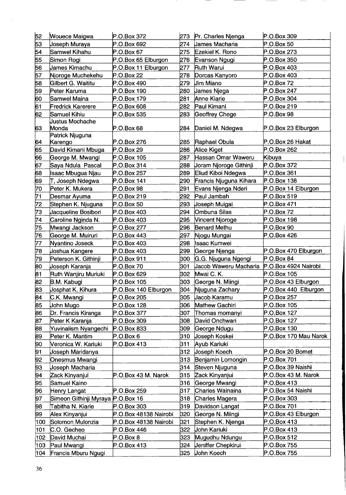| 52  | <b>Wouece Maigwa</b>              | P.O.Box 372           |     | 273 Pr. Charles Njenga | P.O.Box 309           |
|-----|-----------------------------------|-----------------------|-----|------------------------|-----------------------|
| 53  | Joseph Muraya                     | P.O.Box 692           | 274 | <b>James Macharia</b>  | P.O.Box 50            |
| 54  | Samwel Kihahu                     | P.O.Box 67            | 275 | Ezekiel K. Rono        | P.O.Box 273           |
| 55  | Simon Rogi                        | P.O.Box 65 Elburgon   | 276 | Evanson Ngugi          | P.O.Box 350           |
| 56  | James Kimachu                     | P.O.Box 11 Elburgon   | 277 | Ruth Warui             | P.O.Box 403           |
| 57  | Njoroge Muchekehu                 | P.O.Box 22            | 278 | Dorcas Kanyoro         | P.O.Box 403           |
| 58  | Gilbert G. Waititu                | P.O.Box 490           | 279 | <b>Jim Miano</b>       | P.O.Box 72            |
| 59  | Peter Karuma                      | P.O.Box 190           | 280 | <b>James Njega</b>     | P.O.Box 247           |
| 60  | Samwel Maina                      | P.O.Box 179           | 281 | <b>Anne Kiarie</b>     | P.O.Box 304           |
| 61  | Fredrick Karerere                 | P.O.Box 608           | 282 | Paul Kimani            | P.O.Box 219           |
| 62  | Samuel Kihiu                      | P.O.Box 535           | 283 | Geoffrey Chege         | $P.O.Box$ 98          |
|     | <b>Justus Mochache</b>            |                       |     |                        |                       |
| 63  | Monda                             | P.O.Box 68            | 284 | Daniel M. Ndegwa       | P.O.Box 23 Elburgon   |
|     | Patrick Njuguna                   |                       |     |                        |                       |
| 64  | Karengo                           | P.O.Box 276           | 285 | Raphael Obula          | P.O.Box 26 Hakat      |
| 65  | David Kimani Mbuga                | P.O.Box 29            | 286 | Alice Kiget            | P.O.Box 262           |
| 66  | George M. Mwangi                  | P.O.Box 105           | 287 | Hassan Omar Waweru     | Kibuya                |
| 67  | Saya Ndula Pascal                 | P.O.Box 314           | 288 | Joram Njoroge Githinji | P.O.Box 372           |
| 68  | Isaac Mbugua Njau                 | P.O.Box 257           | 289 | Eliud Kiboi Ndegwa     | P.O.Box 361           |
| 69  | T, Joseph Ndegwa                  | P.O.Box 141           | 290 | Francis Njuguna Kihara | P.O.Box 138           |
| 70  | Peter K. Mukera                   | P.O.Box 98            | 291 | Evans Njenga Nderi     | P.O.Box 14 Elburgon   |
| 71  | Desmar Ayuma                      | P.O.Box 219           | 292 | Paul Jambah            | P.O.Box 519           |
| 72  | Stephen K. Njuguna                | P.O.Box 50            | 293 | <b>Joseph Muigai</b>   | P.O.Box 471           |
| 73  | Jacqueline Bosibori               | P.O.Box 403           | 294 | Ombuna Silas           | P.O.Box 72            |
| 74  | Caroline Nginda N.                | P.O.Box 403           | 295 | Vincent Njoroge        | P.O.Box 198           |
| 75  | Mwangi Jackson                    | P.O.Box 277           | 296 | <b>Benard Methu</b>    | P.O.Box 90            |
| 76  | George M. Muiruri                 | P.O.Box 443           | 297 | Njogu Mungai           | P.O.Box 426           |
| 77  | Nyantino Joseck                   | P.O.Box 403           | 298 | Isaac Kumwei           |                       |
| 78  | Joshua Kangere                    | P.O.Box 403           | 299 | George Njenga          | P.O.Box 470 Elburgon  |
| 79  | Peterson K. Githinji              | P.O.Box 911           | 300 | G.G. Njuguna Ngengi    | P.O.Box 84            |
| 80  | Joseph Karanja                    | P.O.Box 70            | 301 | Jacob Waweru Macharia  | P.O.Box 4924 Nairobi  |
| 81  | Ruth Wanjiru Muriuki              | P.O.Box 629           | 302 | Mwai C. K.             | P.O.Box 105           |
| 82  | <b>B.M. Kabugi</b>                | P.O.Box 105           | 303 | George N. Miingi       | P.O.Box 43 Elburgon   |
| 83  | Josphat K. Kihura                 | P.O.Box 140 Elburgon  | 304 | Niuguna Zachary        | P.O.Box 440 Elburgon  |
| 84  | C.K. Mwangi                       | P.O.Box 205           | 305 | Uacob Karamu           | P.O.Box 257           |
| 85  | Uohn Mugo                         | P.O.Box 128           | 306 | Mathew Gachiri         | P.O.Box 105           |
| 86  | Dr. Francis Kiranga               | P.O.Box 377           | 307 | Thomas momanyi         | P.O.Box 127           |
| 87  | Peter K Karanja                   | P.O.Box 309           | 308 | David Onchwari         | P.O.Box 127           |
| 88  | Yuvinalism Nyangechi              | P.O.Box 833           | 309 | George Ndugu           | P.O.Box 130           |
| 89  | Peter K. Maritim                  | P.O.Box 6             | 310 | Joseph Koskei          | P.O.Box 170 Mau Narok |
| 90  | Veronica W. Kariuki               | P.O.Box 413           | 311 | Ayub Kariuki           |                       |
| 91  | Joseph Maridanya                  |                       | 312 | Joseph Koech           | P.O.Box 20 Bomet      |
| 92  | Onesmus Mwangi                    |                       | 313 | Benjamin Lomongin      | P.O.Box 701           |
| 93  | Joseph Macharia                   |                       | 314 | Steven Njuguna         | P.O.Box 39 Naishi     |
| 94  | Zack Kinyanjui                    | P.O.Box 43 M. Narok   | 315 | Zack Kinyanjui         | P.O.Box 43 M. Narok   |
| 95  | Samuel Kaino                      |                       | 316 | George Mwangi          | P.O.Box 413           |
| 96  | Henry Langat                      | P.O.Box 259           | 317 | Charles Wainaina       | P.O.Box 54 Naishi     |
| 97  | Simeon Githinji Myraya P.O.Box 16 |                       | 318 | Charles Magera         | P.O.Box 303           |
| 98  | Tabitha N. Kiarie                 | P.O.Box 303           | 319 | Davidson Langat        | P.O.Box 701           |
| 99  | Alex Kinyanjui                    | P.O.Box 48138 Nairobi | 320 | George N. Miingi       | P.O.Box 43 Elburgon   |
| 100 | Solomon Mulonzia                  | P.O.Box 48138 Nairobi | 321 | Stephen K. Njenga      | P.O.Box 413           |
| 101 | C.O. Gecheo                       | P.O.Box 446           | 322 | <b>John Kariuki</b>    | P.O.Box 413           |
| 102 | David Muchai                      | P.O.Box 8             | 323 | Mugudhu Ndungu         | P.O.Box 512           |
| 103 | Paul Mwangi                       | P.O.Box 413           | 324 | Jeniffer Chepkirui     | P.O.Box 755           |
| 104 | Francis Mburu Ngugi               |                       | 325 | Uohn Koech             | P.O.Box 755           |

- -

 $\hat{\mathcal{A}}$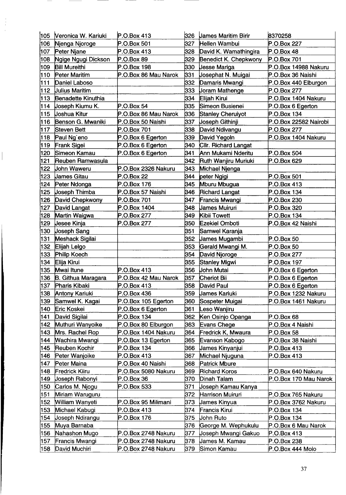| 105 | Veronica W. Kariuki    | P.O.Box 413          | 326   | <b>James Maritim Birir</b> | 8370258               |
|-----|------------------------|----------------------|-------|----------------------------|-----------------------|
| 106 | Njenga Njoroge         | P.O.Box 501          | 327   | Hellen Wambui              | P.O.Box 227           |
| 107 | Peter Njane            | P.O.Box 413          | 328   | David K. Wamathingira      | P.O.Box 48            |
| 108 | Ngige Ngugi Dickson    | P.O.Box 89           | 329   | Benedict K. Chepkwony      | P.O.Box 701           |
| 109 | <b>Bill Mureithi</b>   | P.O.Box 198          | 330   | <b>Jesse Mariga</b>        | P.O.Box 14988 Nakuru  |
| 110 | Peter Maritim          | P.O.Box 86 Mau Narok | 331   | <b>Josephat N. Muigai</b>  | P.O.Box 36 Naishi     |
| 111 | Daniel Laboso          |                      | 332   | Damaris Mwangi             | P.O.Box 440 Elburgon  |
| 112 | <b>Julius Maritim</b>  |                      | 333   | <b>Joram Mathenge</b>      | P.O.Box 277           |
| 113 | Benadette Kinuthia     |                      | 334   | Elijah Kirui               | P.O.Box 1404 Nakuru   |
| 114 | Joseph Kiumu K.        | P.O.Box 54           | 335   | Simeon Busienei            | P.O.Box 6 Egerton     |
| 115 | Uoshua Kitur           | P.O.Box 86 Mau Narok | 336   | <b>Stanley Cherulyot</b>   | P.O.Box 134           |
| 116 | Benson G. Mwaniki      | P.O.Box 50 Naishi    | 337   | <b>Joseph Githinji</b>     | P.O.Box 22582 Nairobi |
| 117 | Steven Bett            | P.O.Box 701          | 338   | David Ndivangu             | P.O.Box 277           |
| 118 | Paul Ng'eno            | P.O.Box 6 Egerton    | 339   | David Yegoln               | P.O.Box 1404 Nakuru   |
| 119 | Frank Sigei            | P.O.Box 6 Egerton    | 340   | Cllr. Richard Langat       |                       |
| 120 | Simeon Kamau           | P.O.Box 6 Egerton    | 341   | Ann Mukami Nderitu         | P.O.Box 504           |
| 121 | Reuben Ramwasula       |                      | 342   | Ruth Wanjiru Muriuki       | P.O.Box 629           |
| 122 | <b>John Waweru</b>     | P.O.Box 2326 Nakuru  | 343   | Michael Njenga             |                       |
| 123 | <b>James Gitau</b>     | P.O.Box 22           | 344   | peter Ngigi                | P.O.Box 501           |
| 124 | Peter Ndonga           | P.O.Box 176          | 345   | Mburu Mbugua               | P.O.Box 413           |
| 125 | <b>Joseph Thimba</b>   | P.O.Box 57 Naishi    | 346 I | <b>Richard Langat</b>      | P.O.Box 134           |
| 126 | David Chepkwony        | P.O.Box 701          | 347   | Francis Mwangi             | P.O.Box 230           |
| 127 | David Langat           | P.O.Box 1404         | 348   | <b>James Muiruri</b>       | P.O.Box 320           |
| 128 | Martin Waigwa          | P.O.Box 277          | 349   | Kibii Towett               | P.O.Box 134           |
| 129 | <b>Jesee Kinja</b>     | P.O.Box 277          | 350   | <b>Ezekiel Omboti</b>      | P.O.Box 42 Naishi     |
| 130 | <b>Joseph Sang</b>     |                      | 351   | Samwel Karanja             |                       |
| 131 | <b>Meshack Sigilai</b> |                      | 352   | <b>James Mugambi</b>       | P.O.Box 50            |
| 132 | Elijah Lelgo           |                      | 353   | Gerald Mwangi M.           | P.O.Box 50            |
| 133 | Philip Koech           |                      | 354   | David Njoroge              | P.O.Box 277           |
| 134 | Elija Kirui            |                      | 355   | Stanley Migwi              | P.O.Box 197           |
| 135 | Mwai Itune             | P.O.Box 413          | 356   | <b>John Mutai</b>          | P.O.Box 6 Egerton     |
| 136 | B. Githua Maragara     | P.O.Box 42 Mau Narok | 357   | Cheriot Bii                | P.O.Box 6 Egerton     |
| 137 | <b>Pharis Kibaki</b>   | P.O.Box 413          | 358   | David Paul                 | P.O.Box 6 Egerton     |
| 138 | Antony Kariuki         | P.O.Box 436          | 359   | <b>James Kariuki</b>       | P.O.Box 1232 Nakuru   |
| 139 | Samwel K. Kagai        | P.O.Box 105 Egerton  | 360   | Sospeter Muigai            | P.O.Box 1461 Nakuru   |
| 140 | Eric Koskei            | P.O.Box 6 Egerton    | 361   | Leso Wanjiru               |                       |
| 141 | David Sigilai          | P.O.Box 134          | 362   | Ken Osinjo Opanga          | P.O.Box 68            |
| 142 | Muthuri Wanyoike       | P.O.Box 80 Elburgon  | 363   | Evans Chege                | P.O.Box 4 Naishi      |
| 143 | Mrs. Rachel Rop        | P.O.Box 1404 Nakuru  | 364   | Fredrick K, Mwaura         | P.O.Box 58            |
| 144 | Wachira Mwangi         | P.O.Box 13 Egerton   | 365   | Evanson Kabogo             | P.O.Box 38 Naishi     |
| 145 | Reuben Kochir          | P.O.Box 134          | 366   | James Kinyanjui            | P.O.Box 413           |
| 146 | Peter Wanjoike         | P.O.Box 413          | 367   | Michael Njuguna            | P.O.Box 413           |
| 147 | Peter Maina            | P.O.Box 40 Naishi    | 368   | Patrick Mbure              |                       |
| 148 | Fredrick Kiiru         | P.O.Box 5080 Nakuru  | 369   | <b>Richard Koros</b>       | P.O.Box 640 Nakuru    |
| 149 | Uoseph Rabonyi         | P.O.Box 36           | 370   | Dinah Talam                | P.O.Box 170 Mau Narok |
| 150 | Carlos M. Njogu        | P.O.Box 533          | 371   | Joseph Kamau Kanya         |                       |
| 151 | Miriam Waruguru        |                      | 372   | Harrison Muiruri           | P.O.Box 765 Nakuru    |
| 152 | William Wanyeti        | P.O.Box 95 Milimani  | 373   | <b>James Kinyua</b>        | P.O.Box 3762 Nakuru   |
| 153 | Michael Kabugi         | P.O.Box 413          | 374   | Francis Kirui              | P.O.Box 134           |
| 154 | Uoseph Ndirangu        | P.O.Box 176          | 375   | Uohn Ruto                  | P.O.Box 134           |
| 155 | Muya Barnaba           |                      | 376   | George M. Wephukulu        | P.O.Box 6 Mau Narok   |
| 156 | Nahashon Mugo          | P.O.Box 2748 Nakuru  | 377   | Uoseph Mwangi Gakuo        | P.O.Box 413           |
| 157 | Francis Mwangi         | P.O.Box 2748 Nakuru  | 378   | James M. Kamau             | P.O.Box 238           |
| 158 | David Muchiri          | P.O.Box 2748 Nakuru  | 379   | Simon Kamau                | P.O.Box 444 Molo      |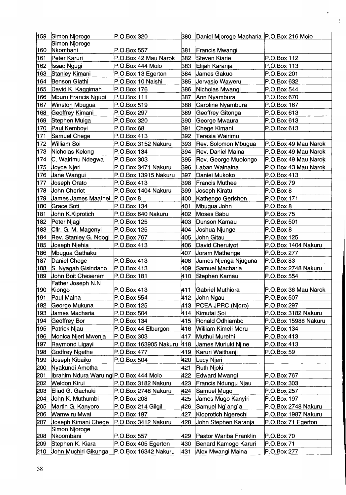| 159 | Simon Njoroge                           | P.O.Box 320           | 380  | Daniel Mjoroge Macharia P.O.Box 216 Molo |                      |
|-----|-----------------------------------------|-----------------------|------|------------------------------------------|----------------------|
|     | Simon Njoroge                           |                       |      |                                          |                      |
| 160 | Nkombani                                | P.O.Box 557           | 381  | Francis Mwangi                           |                      |
| 161 | Peter Karuri                            | P.O.Box 42 Mau Narok  | 382  | Steven Kiarie                            | P.O.Box 112          |
| 162 | <b>Issac Ngugi</b>                      | P.O.Box 444 Molo      | 383  | Elijah Karanja                           | P.O.Box 113          |
| 163 | Stanley Kimani                          | P.O.Box 13 Egerton    | 384  | <b>James Gakuo</b>                       | P.O.Box 201          |
| 164 | Benson Giathi                           | P.O.Box 10 Naishi     | 385  | Uervasio Waweru                          | P.O.Box 632          |
| 165 | David K. Kaggimah                       | P.O.Box 176           | 386  | Nicholas Mwangi                          | P.O.Box 544          |
| 166 | Mburu Francis Ngugi                     | P.O.Box 111           | 387  | Ann Nyambura                             | P.O.Box 670          |
| 167 | <b>Winston Mbugua</b>                   | P.O.Box 519           | 388  | Caroline Nyambura                        | P.O.Box 167          |
| 168 | Geoffrey Kimani                         | P.O.Box 297           | 389  | Geoffrey Gitonga                         | P.O.Box 613          |
| 169 | Stephen Muiga                           | P.O.Box 320           | 390  | George Mwaura                            | P.O.Box 613          |
| 170 | Paul Kemboyi                            | P.O.Box 68            | 391  | Chege Kimani                             | P.O.Box 613          |
| 171 | Samuel Chege                            | P.O.Box 413           | 392  | Teresia Wairimu                          |                      |
| 172 | <b>William Soi</b>                      | P.O.Box 3152 Nakuru   | 393  | Rev. Solomon Mbugua                      | P.O.Box 49 Mau Narok |
| 173 | Nicholas Kelong                         | P.O.Box 134           | 394  | Rev. Daniel Maina                        | P.O.Box 49 Mau Narok |
| 174 | C. Wairimu Ndegwa                       | P.O.Box 303           | 395  | Rev. George Muolongo                     | P.O.Box 49 Mau Narok |
| 175 | <b>Joyce Njeri</b>                      | P.O.Box 3471 Nakuru   | 396  | Laban Wainaina                           | P.O.Box 43 Mau Narok |
| 176 | ,Jane Wangui                            | P.O.Box 13915 Nakuru  | 397  | Daniel Mukoko                            | P.O.Box 413          |
| 177 | Joseph Orato                            | P.O.Box 413           | 398  | Francis Muthee                           | P.O.Box 79           |
| 178 | <b>John Cheriot</b>                     | P.O.Box 1404 Nakuru   | 399  | <b>Joseph Kiratu</b>                     | P.O.Box 8            |
| 179 | James James Maathei                     | P.O.Box 8             | 400  | Kathenge Gerishon                        | P.O.Box 171          |
| 180 | Grace Soti                              | P.O.Box 134           | 401  | Mbugua John                              | P.O.Box 8            |
| 181 | John K.Kiprotich                        | P.O.Box 640 Nakuru    | 402  | <b>Moses Babu</b>                        | P.O.Box 75           |
| 182 | Peter Njagi                             | P.O.Box 125           | 403  | Dunson Kamau                             | P.O.Box 501          |
| 183 | Cllr. G. M. Magenyi                     | P.O.Box 125           | 404  | Uoshua Njunge                            | P.O.Box 8            |
| 184 | Rev. Stanley G. Ndogi                   | P.O.Box 767           | 405  | John Gitau                               | P.O.Box 125          |
| 185 | <b>Joseph Njehia</b>                    | P.O.Box 413           | 406  | David Cheruiyot                          | P.O.Box 1404 Nakuru  |
| 186 | Mbugua Gathaku                          |                       | 407  | <b>Joram Mathenge</b>                    | P.O.Box 277          |
| 187 | Daniel Chege                            | P.O.Box 413           | 408  | James Njenga Njuguna                     | P.O.Box 83           |
| 188 | S. Nyagah Gisindano                     | P.O.Box 413           | 409  | Samuel Macharia                          | P.O.Box 2748 Nakuru  |
| 189 | <b>John Boit Cheserem</b>               | P.O.Box 181           | 410  | Stephen Kamau                            | P.O.Box 554          |
|     | Father Joseph N.N                       |                       |      |                                          |                      |
| 190 | Kiongo                                  | P.O.Box 413           | 411  | <b>Gabriel Muthiora</b>                  | P.O.Box 36 Mau Narok |
| 191 | Paul Maina                              | P.O.Box 554           |      | 412 Uohn Ngau                            | P.O.Box 507          |
| 192 | George Mukuna                           | P.O.Box 125           | 413  | PCEA JPRC (Njoro)                        | P.O.Box 297          |
| 193 | <b>James Macharia</b>                   | P.O.Box 504           | 414  | Kimutai Soi                              | P.O.Box 3182 Nakuru  |
| 194 | Geoffrey Bor                            | P.O.Box 134           | 415  | Ronald Odhiambo                          | P.O.Box 15988 Nakuru |
| 195 | Patrick Njau                            | P.O.Box 44 Elburgon   | 416. | William Kimeli Moru                      | P.O.Box 134          |
| 196 | Monica Njeri Mwenja                     | P.O.Box 303           | 417  | Muthui Murethi                           | P.O.Box 413          |
| 197 | Raymond Ligayi                          | P.O.Box 163905 Nakuru | 418  | <b>James Muriuki Njine</b>               | P.O.Box 413          |
| 198 | Godfrey Ngethe                          | P.O.Box 477           | 419  | Karuri Waithanji                         | P.O.Box 59           |
| 199 | <b>Joseph Kibaiko</b>                   | P.O.Box 504           | 420  | Lucy Njeri                               |                      |
| 200 | Nyakundi Amotha                         |                       | 421  | Ruth Njoki                               |                      |
| 201 | Ibrahim Ndura Waruingi P.O.Box 444 Molo |                       | 422  | Edward Mwangi                            | P.O.Box 767          |
| 202 | Weldon Kirui                            | P.O.Box 3182 Nakuru   | 423  | Francis Ndungu Njau                      | P.O.Box 303          |
| 203 | Eliud G. Gachuki                        | P.O.Box 2748 Nakuru   | 424  | Samuel Mugo                              | P.O.Box 257          |
| 204 | John K. Muthumbi                        | P.O.Box 208           | 425  | <b>James Mugo Kanyiri</b>                | P.O.Box 197          |
| 205 | Martin G. Kanyoro                       | P.O.Box 214 Gilgil    | 426  | Samuel Ng'ang'a                          | P.O.Box 2748 Nakuru  |
| 206 | Wamwiru Mwai                            | P.O.Box 197           | 427  | Kioprotich Ngerechi                      | P.O.Box 1987 Nakuru  |
| 207 | Joseph Kimani Chege                     | P.O.Box 3412 Nakuru   | 428  | John Stephen Karanja                     | P.O.Box 71 Egerton   |
|     | Simon Njoroge                           |                       |      |                                          |                      |
| 208 | Nkoombani                               | P.O.Box 557           | 429  | Pastor Wariba Franklin                   | P.O.Box 70           |
| 209 | Stephen K. Kiara                        | P.O.Box 405 Egerton   | 430  | Benard Kamogo Karuri                     | P.O.Box 71           |
| 210 | John Muchiri Gikunga                    | P.O.Box 16342 Nakuru  | 431  | Alex Mwangi Maina                        | P.O.Box 277          |

 $\hat{\mathcal{A}}$ 

 $\ddot{\phantom{0}}$ 

 $\frac{1}{2}$